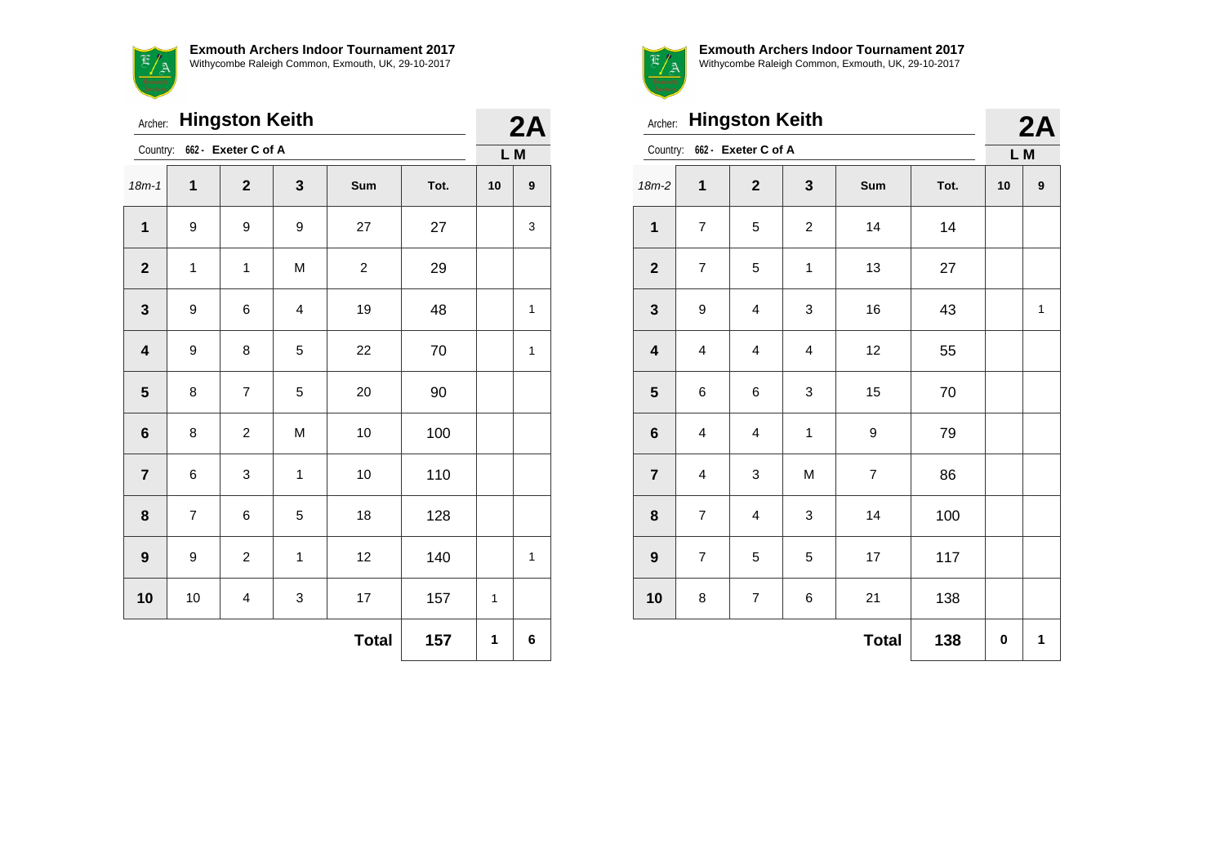$\sim$ **Exmouth Archers Indoor Tournament 2017** Withycombe Raleigh Common, Exmouth, UK, 29-10-2017

| Archer:                 |                              | 2A                      |                         |                |      |    |   |  |
|-------------------------|------------------------------|-------------------------|-------------------------|----------------|------|----|---|--|
|                         | Country: 662 - Exeter C of A |                         |                         |                |      |    |   |  |
| $18m - 1$               | 1                            | $\mathbf{2}$            | 3                       | Sum            | Tot. | 10 | 9 |  |
| $\mathbf{1}$            | $\boldsymbol{9}$             | 9                       | 9                       | 27             | 27   |    | 3 |  |
| $\mathbf{2}$            | 1                            | $\mathbf{1}$            | M                       | $\overline{c}$ | 29   |    |   |  |
| 3                       | 9                            | 6                       | $\overline{\mathbf{4}}$ | 19             | 48   |    | 1 |  |
| $\overline{\mathbf{4}}$ | 9                            | 8                       | 5                       | 22             | 70   |    | 1 |  |
| $5\phantom{1}$          | 8                            | $\overline{7}$          | 5                       | 20             | 90   |    |   |  |
| $\bf 6$                 | 8                            | $\overline{c}$          | M                       | 10             | 100  |    |   |  |
| $\overline{7}$          | 6                            | 3                       | $\mathbf 1$             | 10             | 110  |    |   |  |
| 8                       | $\overline{\mathbf{7}}$      | 6                       | 5                       | 18             | 128  |    |   |  |
| $\boldsymbol{9}$        | 9                            | $\overline{c}$          | 1                       | 12             | 140  |    | 1 |  |
| 10                      | 10                           | $\overline{\mathbf{4}}$ | 3                       | 17             | 157  | 1  |   |  |
|                         |                              |                         |                         | <b>Total</b>   | 157  | 1  | 6 |  |



Archer: **Hingston Keith**

| Archer:                 |                         | 2A                      |                         |                  |      |    |              |
|-------------------------|-------------------------|-------------------------|-------------------------|------------------|------|----|--------------|
| Country:                | L M                     |                         |                         |                  |      |    |              |
| $18m-2$                 | $\mathbf 1$             | $\mathbf 2$             | 3                       | Sum              | Tot. | 10 | 9            |
| $\mathbf{1}$            | $\overline{7}$          | 5                       | $\overline{\mathbf{c}}$ | 14               | 14   |    |              |
| $\boldsymbol{2}$        | $\overline{7}$          | 5                       | 1                       | 13               | 27   |    |              |
| $\mathbf{3}$            | 9                       | 4                       | 3                       | 16               | 43   |    | $\mathbf{1}$ |
| $\overline{\mathbf{4}}$ | $\overline{\mathbf{4}}$ | $\overline{\mathbf{4}}$ | 4                       | 12               | 55   |    |              |
| $\overline{\mathbf{5}}$ | 6                       | 6                       | 3                       | 15               | 70   |    |              |
| $\bf 6$                 | $\overline{\mathbf{4}}$ | $\overline{\mathbf{4}}$ | $\mathbf{1}$            | $\boldsymbol{9}$ | 79   |    |              |
| $\overline{7}$          | $\overline{\mathbf{4}}$ | 3                       | M                       | $\overline{7}$   | 86   |    |              |
| 8                       | $\overline{7}$          | $\overline{\mathbf{4}}$ | 3                       | 14               | 100  |    |              |
| $\boldsymbol{9}$        | $\overline{7}$          | 5                       | 5                       | 17               | 117  |    |              |
| 10                      | 8                       | $\overline{7}$          | 6                       | 21               | 138  |    |              |
|                         |                         |                         |                         | <b>Total</b>     | 138  | 0  | 1            |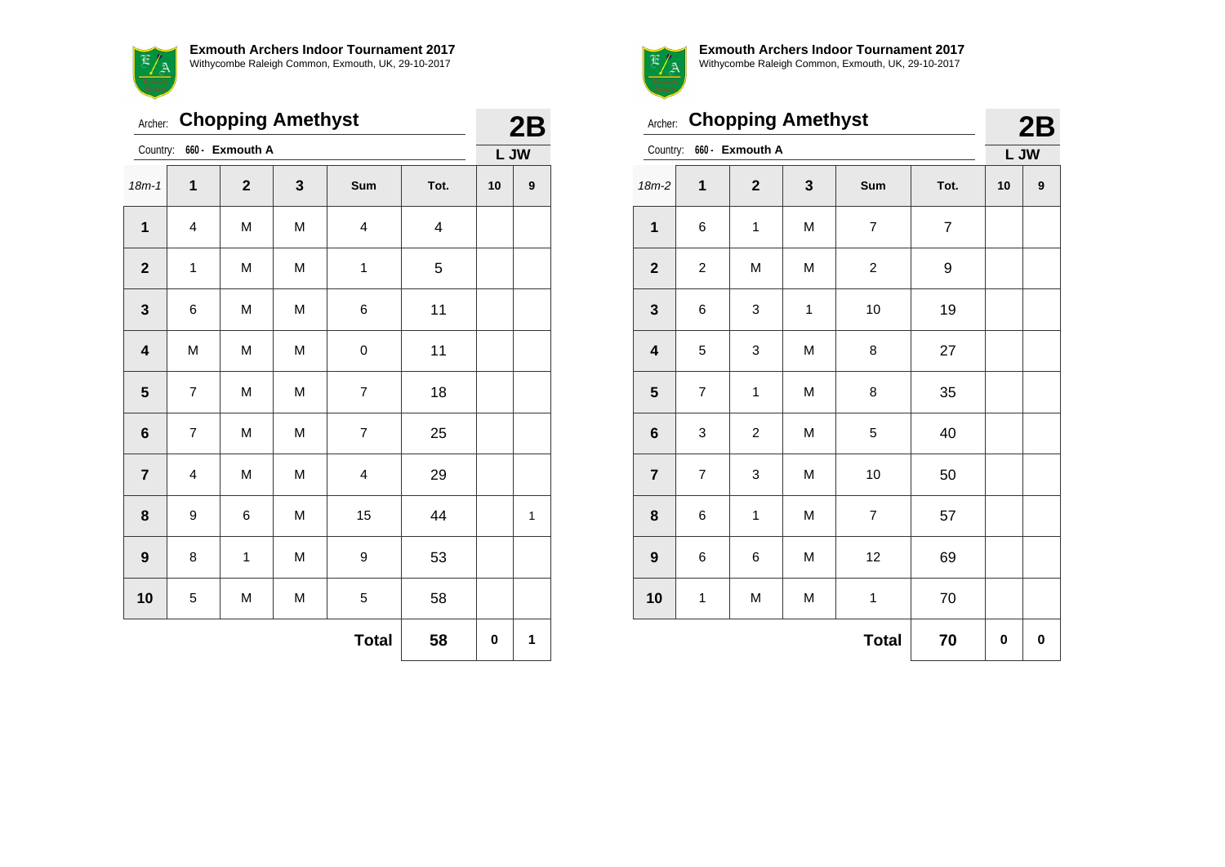

| Archer:                 |                | 2B                      |              |                          |                         |    |              |
|-------------------------|----------------|-------------------------|--------------|--------------------------|-------------------------|----|--------------|
| Country:                |                | L JW                    |              |                          |                         |    |              |
| $18m - 1$               | $\mathbf 1$    | $\overline{\mathbf{2}}$ | $\mathbf{3}$ | Sum                      | Tot.                    | 10 | 9            |
| 1                       | 4              | M                       | M            | $\overline{\mathbf{4}}$  | $\overline{\mathbf{4}}$ |    |              |
| $\mathbf 2$             | $\mathbf{1}$   | M                       | M            | 1                        | 5                       |    |              |
| $\mathbf{3}$            | 6              | M                       | M            | 6                        | 11                      |    |              |
| $\overline{\mathbf{4}}$ | M              | M                       | M            | $\mathbf 0$              | 11                      |    |              |
| $5\phantom{1}$          | $\overline{7}$ | M                       | M            | $\overline{7}$           | 18                      |    |              |
| $\bf 6$                 | $\overline{7}$ | M                       | M            | $\overline{\mathcal{I}}$ | 25                      |    |              |
| $\overline{7}$          | 4              | M                       | M            | 4                        | 29                      |    |              |
| 8                       | 9              | 6                       | M            | 15                       | 44                      |    | $\mathbf{1}$ |
| 9                       | 8              | $\mathbf{1}$            | M            | $\boldsymbol{9}$         | 53                      |    |              |
| 10                      | 5              | M                       | M            | 5                        | 58                      |    |              |
|                         |                |                         |              | <b>Total</b>             | 58                      | 0  | 1            |



**Exmouth Archers Indoor Tournament 2017**

| Withvcombe Raleigh Common. Exmouth. UK. 29-10-2017 |  |
|----------------------------------------------------|--|
|                                                    |  |
|                                                    |  |

| Archer:                 |                | 2B             |              |                         |                |    |   |
|-------------------------|----------------|----------------|--------------|-------------------------|----------------|----|---|
| Country:                | L JW           |                |              |                         |                |    |   |
| $18m-2$                 | 1              | $\mathbf{2}$   | 3            | Sum                     | Tot.           | 10 | 9 |
| $\mathbf{1}$            | 6              | $\mathbf 1$    | M            | $\overline{7}$          | $\overline{7}$ |    |   |
| $\mathbf{2}$            | $\overline{c}$ | M              | M            | $\overline{\mathbf{c}}$ | 9              |    |   |
| $\mathbf{3}$            | 6              | 3              | $\mathbf{1}$ | 10                      | 19             |    |   |
| $\overline{\mathbf{4}}$ | 5              | 3              | M            | 8                       | 27             |    |   |
| ${\bf 5}$               | $\overline{7}$ | 1              | M            | 8                       | 35             |    |   |
| $\bf 6$                 | 3              | $\overline{c}$ | M            | 5                       | 40             |    |   |
| $\overline{7}$          | $\overline{7}$ | 3              | M            | 10                      | 50             |    |   |
| 8                       | 6              | $\mathbf{1}$   | M            | 7                       | 57             |    |   |
| 9                       | 6              | 6              | M            | 12                      | 69             |    |   |
| 10                      | 1              | M              | M            | $\mathbf{1}$            | 70             |    |   |
|                         |                |                |              | <b>Total</b>            | 70             | 0  | 0 |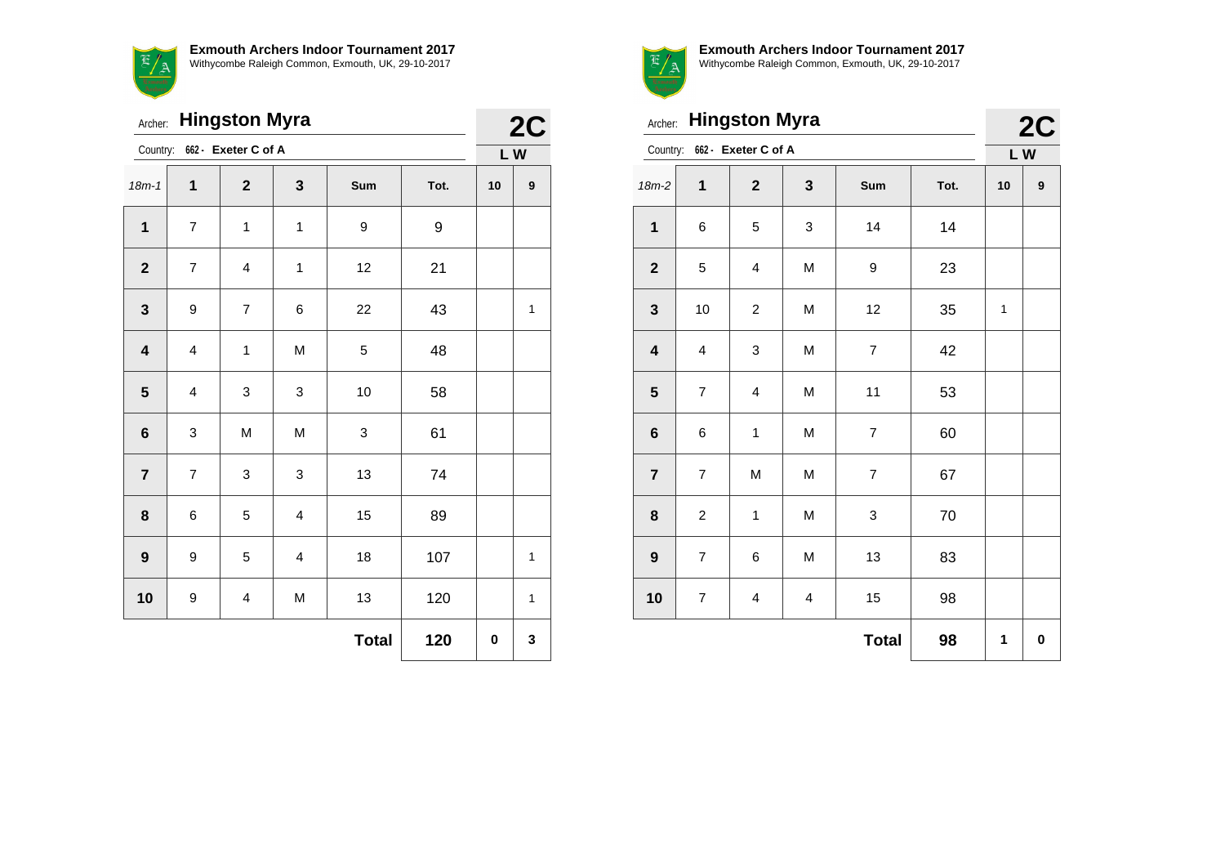**Exmouth Archers Indoor Tournament 2017**  $\mathbb{E}/\mathbb{A}$ Withycombe Raleigh Common, Exmouth, UK, 29-10-2017

| Archer:                      |                         | 2C                      |                         |              |      |    |              |
|------------------------------|-------------------------|-------------------------|-------------------------|--------------|------|----|--------------|
| Country: 662 - Exeter C of A |                         | LW                      |                         |              |      |    |              |
| $18m - 1$                    | 1                       | $\overline{2}$          | $\mathbf 3$             | Sum          | Tot. | 10 | 9            |
| 1                            | $\overline{7}$          | $\mathbf{1}$            | $\mathbf{1}$            | 9            | 9    |    |              |
| $\mathbf{2}$                 | $\overline{7}$          | $\overline{4}$          | $\mathbf{1}$            | 12           | 21   |    |              |
| $\mathbf 3$                  | 9                       | $\overline{7}$          | 6                       | 22           | 43   |    | $\mathbf{1}$ |
| $\overline{\mathbf{4}}$      | $\overline{\mathbf{4}}$ | $\mathbf{1}$            | M                       | 5            | 48   |    |              |
| 5                            | 4                       | 3                       | 3                       | 10           | 58   |    |              |
| $\bf 6$                      | 3                       | M                       | M                       | 3            | 61   |    |              |
| $\overline{7}$               | $\overline{7}$          | 3                       | 3                       | 13           | 74   |    |              |
| 8                            | 6                       | 5                       | $\overline{\mathbf{4}}$ | 15           | 89   |    |              |
| $\boldsymbol{9}$             | 9                       | 5                       | $\overline{\mathbf{4}}$ | 18           | 107  |    | $\mathbf{1}$ |
| 10                           | $\boldsymbol{9}$        | $\overline{\mathbf{4}}$ | M                       | 13           | 120  |    | $\mathbf 1$  |
|                              |                         |                         |                         | <b>Total</b> | 120  | 0  | 3            |



| Archer: Hingston Myra        |                         | 2C                      |   |                          |      |    |   |
|------------------------------|-------------------------|-------------------------|---|--------------------------|------|----|---|
| Country: 662 - Exeter C of A |                         | LW                      |   |                          |      |    |   |
| $18m-2$                      | 1                       | $\mathbf{2}$            | 3 | Sum                      | Tot. | 10 | 9 |
| $\mathbf 1$                  | 6                       | 5                       | 3 | 14                       | 14   |    |   |
| $\mathbf{2}$                 | 5                       | $\overline{\mathbf{4}}$ | M | 9                        | 23   |    |   |
| $\mathbf{3}$                 | 10                      | $\overline{c}$          | M | 12                       | 35   | 1  |   |
| $\overline{\mathbf{4}}$      | $\overline{\mathbf{4}}$ | 3                       | M | $\overline{\mathcal{I}}$ | 42   |    |   |
| 5                            | $\overline{7}$          | $\overline{\mathbf{4}}$ | M | 11                       | 53   |    |   |
| $6\phantom{1}6$              | 6                       | $\mathbf{1}$            | M | $\overline{7}$           | 60   |    |   |
| $\overline{7}$               | $\overline{7}$          | M                       | M | $\overline{7}$           | 67   |    |   |
| 8                            | $\overline{c}$          | $\mathbf 1$             | M | 3                        | 70   |    |   |
| $\boldsymbol{9}$             | $\overline{7}$          | 6                       | M | 13                       | 83   |    |   |
| 10                           | $\overline{7}$          | $\overline{\mathbf{4}}$ | 4 | 15                       | 98   |    |   |
|                              |                         |                         |   | <b>Total</b>             | 98   | 1  | 0 |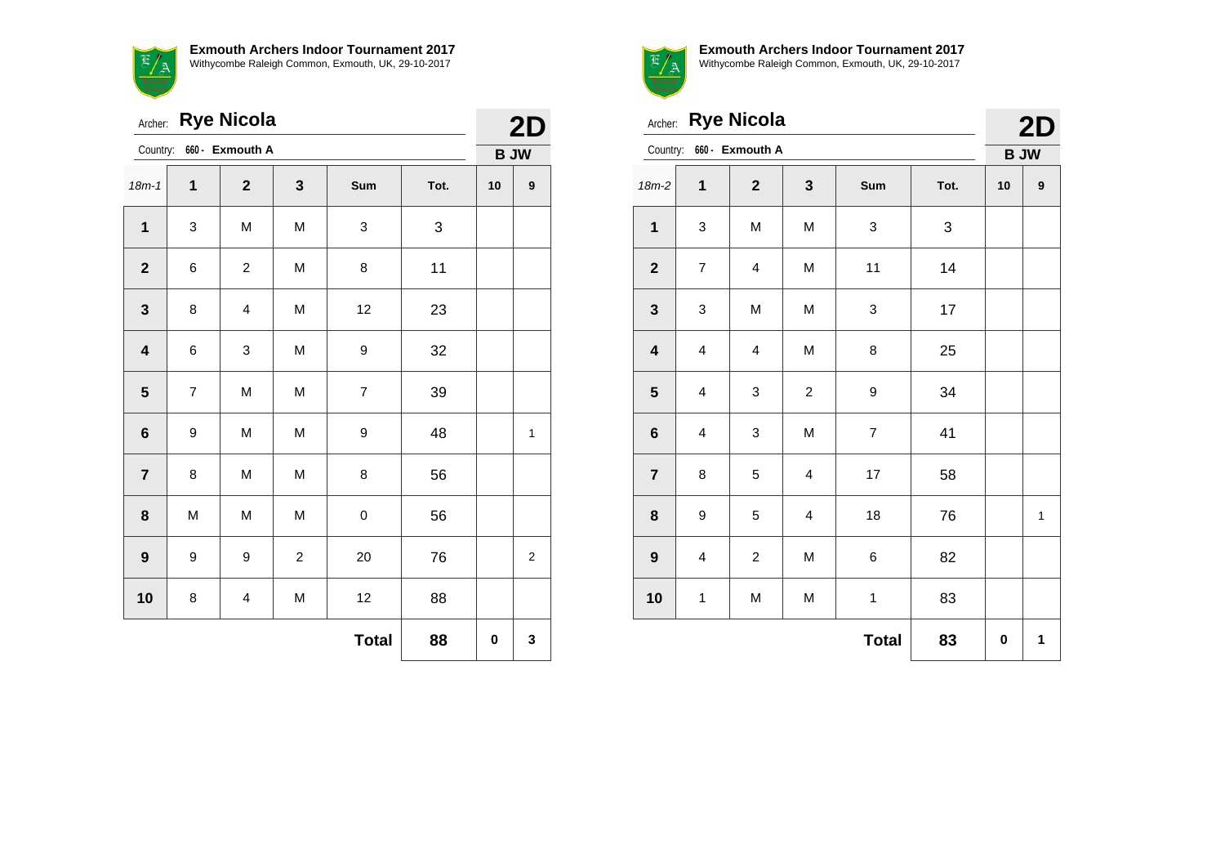7 A

| <b>Exmouth Archers Indoor Tournament 2017</b>      |
|----------------------------------------------------|
| Withycombe Raleigh Common, Exmouth, UK, 29-10-2017 |

| Archer: Rye Nicola       |                |                         |                |                  |      |    |                  |
|--------------------------|----------------|-------------------------|----------------|------------------|------|----|------------------|
| Country: 660 - Exmouth A |                |                         |                |                  |      |    |                  |
| $18m - 1$                | $\mathbf{1}$   | $\mathbf{2}$            | 3              | Sum              | Tot. | 10 | $\boldsymbol{9}$ |
| $\mathbf{1}$             | 3              | M                       | M              | 3                | 3    |    |                  |
| $\mathbf{2}$             | 6              | $\overline{c}$          | M              | 8                | 11   |    |                  |
| 3                        | 8              | $\overline{\mathbf{4}}$ | M              | 12               | 23   |    |                  |
| $\overline{\mathbf{4}}$  | 6              | 3                       | M              | 9                | 32   |    |                  |
| 5                        | $\overline{7}$ | M                       | M              | $\overline{7}$   | 39   |    |                  |
| $6\phantom{1}6$          | 9              | M                       | M              | $\boldsymbol{9}$ | 48   |    | 1                |
| $\overline{7}$           | 8              | M                       | M              | 8                | 56   |    |                  |
| 8                        | M              | M                       | M              | 0                | 56   |    |                  |
| $\boldsymbol{9}$         | 9              | 9                       | $\overline{c}$ | 20               | 76   |    | $\boldsymbol{2}$ |
| 10                       | 8              | 4                       | M              | 12               | 88   |    |                  |
|                          |                |                         |                | <b>Total</b>     | 88   | 0  | 3                |



|  | 2D |
|--|----|

|                         | <b>Rye Nicola</b><br>Archer: |                         |                         |                  |      |             |              |  |  |
|-------------------------|------------------------------|-------------------------|-------------------------|------------------|------|-------------|--------------|--|--|
| Country:                |                              | 660 - Exmouth A         |                         |                  |      | <b>B JW</b> | 2D           |  |  |
| $18m-2$                 | 1                            | $\mathbf{2}$            | $\mathbf 3$             | Sum              | Tot. | 10          | 9            |  |  |
| $\mathbf 1$             | 3                            | M                       | M                       | 3                | 3    |             |              |  |  |
| $\mathbf 2$             | $\overline{\mathbf{7}}$      | $\overline{\mathbf{4}}$ | M                       | 11               | 14   |             |              |  |  |
| $\mathbf{3}$            | 3                            | M                       | M                       | 3                | 17   |             |              |  |  |
| $\overline{\mathbf{4}}$ | $\overline{\mathbf{4}}$      | $\overline{\mathbf{4}}$ | M                       | 8                | 25   |             |              |  |  |
| $\overline{\mathbf{5}}$ | 4                            | 3                       | $\overline{c}$          | $\boldsymbol{9}$ | 34   |             |              |  |  |
| $\bf 6$                 | $\overline{\mathbf{4}}$      | 3                       | M                       | $\overline{7}$   | 41   |             |              |  |  |
| $\overline{7}$          | 8                            | 5                       | $\overline{\mathbf{4}}$ | 17               | 58   |             |              |  |  |
| 8                       | 9                            | 5                       | 4                       | 18               | 76   |             | $\mathbf{1}$ |  |  |
| $\boldsymbol{9}$        | $\overline{\mathbf{4}}$      | $\overline{c}$          | M                       | 6                | 82   |             |              |  |  |
| 10                      | 1                            | M                       | M                       | $\mathbf 1$      | 83   |             |              |  |  |
|                         |                              |                         |                         | <b>Total</b>     | 83   | 0           | 1            |  |  |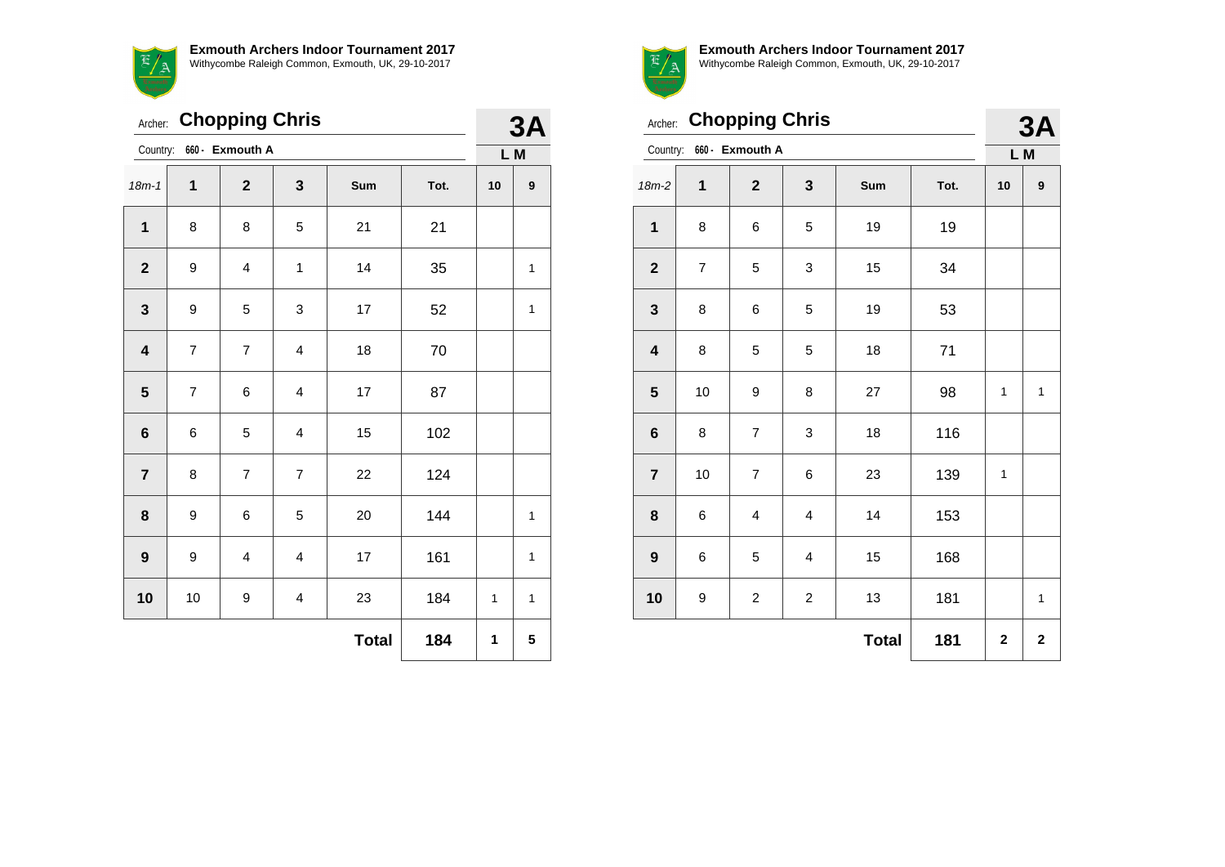**Exmouth Archers Indoor Tournament 2017**  $E/A$ Withycombe Raleigh Common, Exmouth, UK, 29-10-2017

| Archer:                 |                | <b>Chopping Chris</b>   |                         |              |      | 3A |                  |
|-------------------------|----------------|-------------------------|-------------------------|--------------|------|----|------------------|
| Country:                |                | 660 - Exmouth A         |                         |              |      |    | L M              |
| $18m - 1$               | 1              | $\overline{2}$          | 3                       | Sum          | Tot. | 10 | $\boldsymbol{9}$ |
| 1                       | 8              | 8                       | 5                       | 21           | 21   |    |                  |
| $\mathbf 2$             | 9              | $\overline{\mathbf{4}}$ | $\mathbf 1$             | 14           | 35   |    | 1                |
| $\mathbf{3}$            | 9              | 5                       | 3                       | 17           | 52   |    | $\mathbf{1}$     |
| $\overline{\mathbf{4}}$ | $\overline{7}$ | $\overline{7}$          | $\overline{\mathbf{4}}$ | 18           | 70   |    |                  |
| ${\bf 5}$               | $\overline{7}$ | 6                       | 4                       | $17\,$       | 87   |    |                  |
| $\bf 6$                 | 6              | 5                       | 4                       | 15           | 102  |    |                  |
| $\overline{7}$          | 8              | $\overline{7}$          | $\overline{7}$          | 22           | 124  |    |                  |
| 8                       | 9              | 6                       | 5                       | 20           | 144  |    | $\mathbf{1}$     |
| $\boldsymbol{9}$        | 9              | $\overline{\mathbf{4}}$ | 4                       | 17           | 161  |    | 1                |
| 10                      | 10             | 9                       | $\overline{\mathbf{4}}$ | 23           | 184  | 1  | 1                |
|                         |                |                         |                         | <b>Total</b> | 184  | 1  | 5                |



|                         | Archer: Chopping Chris |                         |                  |              |      |                  |              |  |  |
|-------------------------|------------------------|-------------------------|------------------|--------------|------|------------------|--------------|--|--|
| Country:                |                        | 660 - Exmouth A         |                  |              |      | <b>3A</b><br>L M |              |  |  |
| $18m-2$                 | 1                      | $\mathbf{2}$            | 3                | Sum          | Tot. | 10               | 9            |  |  |
| $\mathbf{1}$            | 8                      | 6                       | 5                | 19           | 19   |                  |              |  |  |
| $\mathbf{2}$            | $\overline{7}$         | 5                       | 3                | 15           | 34   |                  |              |  |  |
| $\mathbf 3$             | 8                      | 6                       | 5                | 19           | 53   |                  |              |  |  |
| $\overline{\mathbf{4}}$ | 8                      | 5                       | 5                | 18           | 71   |                  |              |  |  |
| ${\bf 5}$               | 10                     | 9                       | 8                | 27           | 98   | 1                | $\mathbf{1}$ |  |  |
| $\bf 6$                 | 8                      | $\overline{7}$          | 3                | 18           | 116  |                  |              |  |  |
| $\overline{7}$          | 10                     | $\overline{7}$          | 6                | 23           | 139  | 1                |              |  |  |
| 8                       | 6                      | $\overline{\mathbf{4}}$ | 4                | 14           | 153  |                  |              |  |  |
| $\boldsymbol{9}$        | 6                      | 5                       | 4                | 15           | 168  |                  |              |  |  |
| 10                      | 9                      | $\overline{c}$          | $\boldsymbol{2}$ | 13           | 181  |                  | 1            |  |  |
|                         |                        |                         |                  | <b>Total</b> | 181  | $\mathbf 2$      | $\mathbf{2}$ |  |  |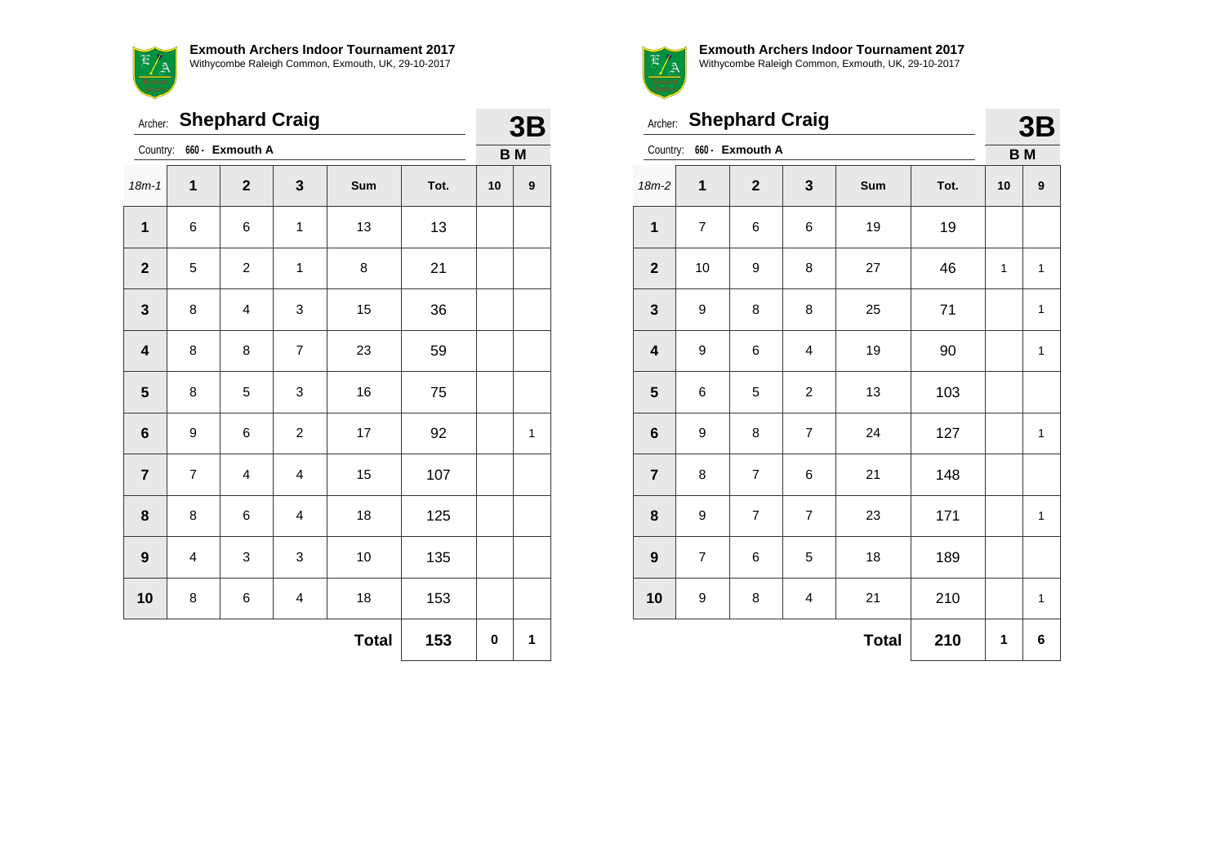**Exmouth Archers Indoor Tournament 2017**  $\overline{\mathbb{E}}$ Withycombe Raleigh Common, Exmouth, UK, 29-10-2017 <u>"/ a</u>

|                         |                     | Archer: Shephard Craig  |                         |     |      | 3B        |              |
|-------------------------|---------------------|-------------------------|-------------------------|-----|------|-----------|--------------|
| Country:                |                     | 660 - Exmouth A         |                         |     |      | <b>BM</b> |              |
| $18m - 1$               | 1                   | $\mathbf{2}$            | 3                       | Sum | Tot. | 10        | 9            |
| $\mathbf 1$             | 6                   | 6                       | $\mathbf 1$             | 13  | 13   |           |              |
| $\mathbf{2}$            | 5                   | $\boldsymbol{2}$        | 1                       | 8   | 21   |           |              |
| $\mathbf{3}$            | 8                   | $\overline{\mathbf{4}}$ | 3                       | 15  | 36   |           |              |
| $\overline{\mathbf{4}}$ | 8                   | 8                       | $\overline{7}$          | 23  | 59   |           |              |
| $\overline{\mathbf{5}}$ | 8                   | 5                       | 3                       | 16  | 75   |           |              |
| $\bf 6$                 | 9                   | 6                       | $\overline{\mathbf{c}}$ | 17  | 92   |           | $\mathbf{1}$ |
| $\overline{7}$          | $\overline{7}$      | $\overline{4}$          | 4                       | 15  | 107  |           |              |
| 8                       | 8                   | 6                       | $\overline{\mathbf{4}}$ | 18  | 125  |           |              |
| $\boldsymbol{9}$        | 4                   | 3                       | 3                       | 10  | 135  |           |              |
| 10                      | 8                   | 6                       | $\overline{\mathbf{4}}$ | 18  | 153  |           |              |
|                         | <b>Total</b><br>153 |                         |                         |     |      |           |              |



**3BB** 

| Archer:                 |                | <b>Shephard Craig</b>    |                         |              |      | 3B           |              |
|-------------------------|----------------|--------------------------|-------------------------|--------------|------|--------------|--------------|
|                         |                | Country: 660 - Exmouth A |                         |              |      | <b>BM</b>    |              |
| $18m-2$                 | 1              | $\overline{2}$           | 3                       | Sum          | Tot. | 10           | 9            |
| $\mathbf{1}$            | $\overline{7}$ | 6                        | 6                       | 19           | 19   |              |              |
| $\mathbf{2}$            | 10             | 9                        | 8                       | 27           | 46   | $\mathbf{1}$ | 1            |
| $\mathbf{3}$            | 9              | 8                        | 8                       | 25           | 71   |              | 1            |
| $\overline{\mathbf{4}}$ | 9              | 6                        | 4                       | 19           | 90   |              | $\mathbf{1}$ |
| 5                       | 6              | 5                        | $\overline{c}$          | 13           | 103  |              |              |
| $6\phantom{1}6$         | 9              | 8                        | $\overline{7}$          | 24           | 127  |              | 1            |
| $\overline{7}$          | 8              | $\overline{7}$           | 6                       | 21           | 148  |              |              |
| 8                       | 9              | $\overline{7}$           | $\overline{\mathbf{7}}$ | 23           | 171  |              | 1            |
| $\boldsymbol{9}$        | $\overline{7}$ | 6                        | 5                       | 18           | 189  |              |              |
| 10                      | 9              | 8                        | 4                       | 21           | 210  |              | 1            |
|                         |                |                          |                         | <b>Total</b> | 210  | 1            | 6            |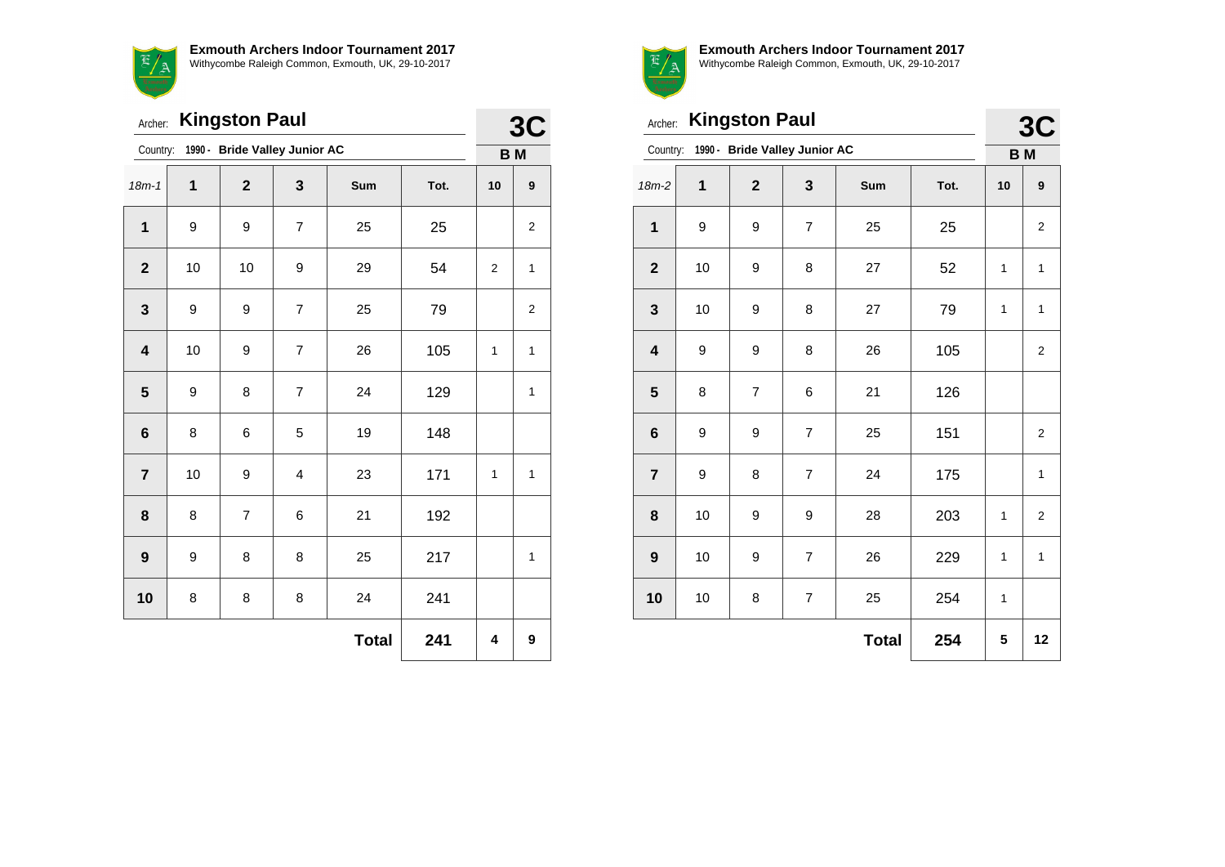'/ A

| <b>Exmouth Archers Indoor Tournament 2017</b>      |
|----------------------------------------------------|
| Withycombe Raleigh Common, Exmouth, UK, 29-10-2017 |

|                         | <b>Kingston Paul</b><br>Archer: |                                        |                |              |      |                |              |  |
|-------------------------|---------------------------------|----------------------------------------|----------------|--------------|------|----------------|--------------|--|
|                         |                                 | Country: 1990 - Bride Valley Junior AC |                |              |      | B <sub>M</sub> |              |  |
| $18m - 1$               | 1                               | $\overline{2}$                         | 3              | Sum          | Tot. | 10             | 9            |  |
| $\mathbf{1}$            | 9                               | 9                                      | $\overline{7}$ | 25           | 25   |                | 2            |  |
| $\mathbf{2}$            | 10                              | 10                                     | 9              | 29           | 54   | 2              | 1            |  |
| 3                       | 9                               | 9                                      | 7              | 25           | 79   |                | 2            |  |
| $\overline{\mathbf{4}}$ | 10                              | 9                                      | $\overline{7}$ | 26           | 105  | 1              | $\mathbf{1}$ |  |
| 5                       | 9                               | 8                                      | $\overline{7}$ | 24           | 129  |                | 1            |  |
| 6                       | 8                               | 6                                      | 5              | 19           | 148  |                |              |  |
| $\overline{7}$          | 10                              | 9                                      | 4              | 23           | 171  | 1              | $\mathbf{1}$ |  |
| 8                       | 8                               | $\overline{7}$                         | 6              | 21           | 192  |                |              |  |
| $\boldsymbol{9}$        | 9                               | 8                                      | 8              | 25           | 217  |                | $\mathbf{1}$ |  |
| 10                      | 8                               | 8                                      | 8              | 24           | 241  |                |              |  |
|                         |                                 |                                        |                | <b>Total</b> | 241  | 4              | 9            |  |



**Exmouth Archers Indoor Tournament 2017** Withycombe Raleigh Common, Exmouth, UK, 29-10-2017

**3C**

|                         | <b>Kingston Paul</b><br>Archer: |                               |                |              |      |           |                         |  |
|-------------------------|---------------------------------|-------------------------------|----------------|--------------|------|-----------|-------------------------|--|
| Country:                |                                 | 1990 - Bride Valley Junior AC |                |              |      | <b>BM</b> |                         |  |
| $18m-2$                 | $\mathbf 1$                     | $\overline{\mathbf{2}}$       | 3              | Sum          | Tot. | 10        | 9                       |  |
| $\mathbf 1$             | 9                               | 9                             | $\overline{7}$ | 25           | 25   |           | $\overline{2}$          |  |
| $\mathbf{2}$            | 10                              | 9                             | 8              | 27           | 52   | 1         | 1                       |  |
| $\mathbf{3}$            | 10                              | 9                             | 8              | 27           | 79   | 1         | 1                       |  |
| $\overline{\mathbf{4}}$ | 9                               | 9                             | 8              | 26           | 105  |           | $\overline{\mathbf{c}}$ |  |
| 5                       | 8                               | $\overline{7}$                | 6              | 21           | 126  |           |                         |  |
| $6\phantom{1}6$         | 9                               | 9                             | 7              | 25           | 151  |           | $\overline{2}$          |  |
| $\overline{7}$          | 9                               | 8                             | $\overline{7}$ | 24           | 175  |           | 1                       |  |
| 8                       | 10                              | 9                             | 9              | 28           | 203  | 1         | $\overline{2}$          |  |
| $\boldsymbol{9}$        | 10                              | 9                             | $\overline{7}$ | 26           | 229  | 1         | $\mathbf{1}$            |  |
| 10                      | 10                              | 8                             | 7              | 25           | 254  | 1         |                         |  |
|                         |                                 |                               |                | <b>Total</b> | 254  | 5         | 12                      |  |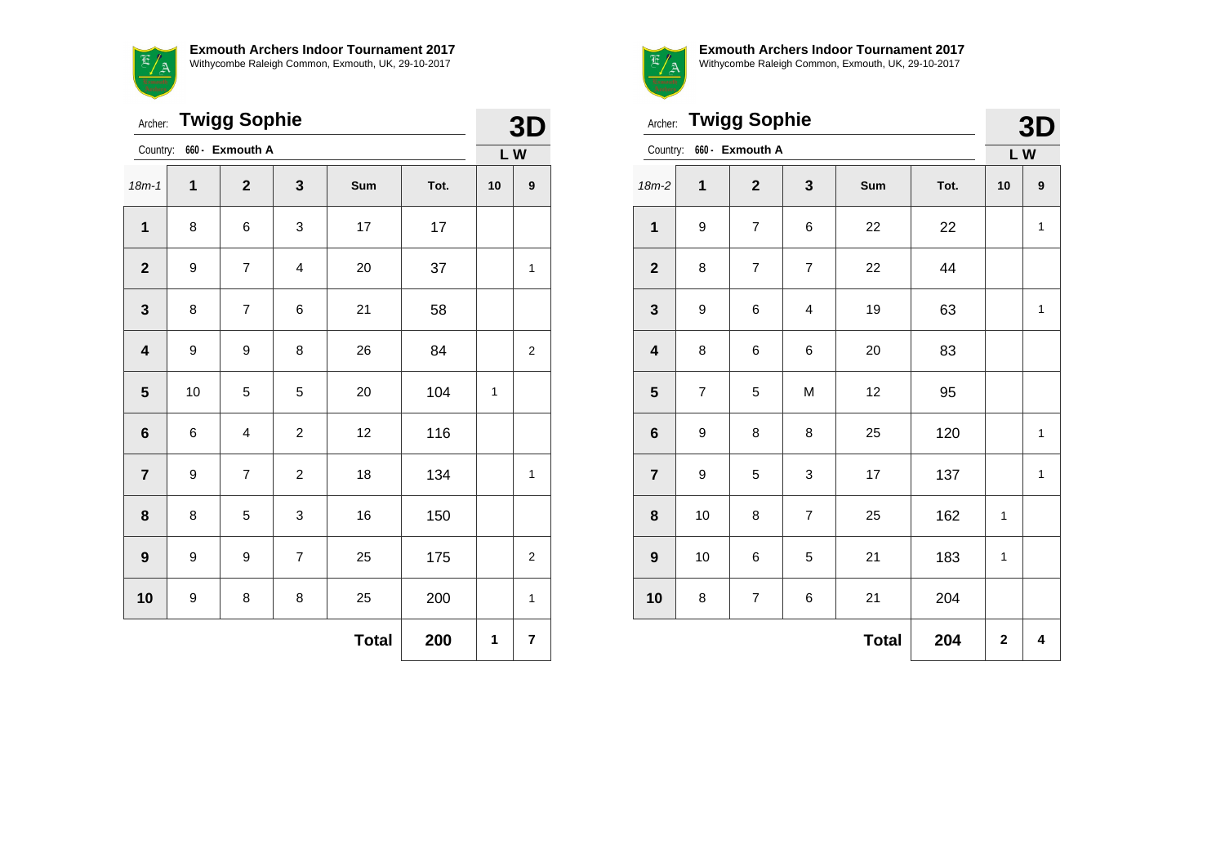**Exmouth Archers Indoor Tournament 2017**  $\mathbb{E}/$ Withycombe Raleigh Common, Exmouth, UK, 29-10-2017  $\frac{a}{\sqrt{2}}$ 

|                         | <b>Twigg Sophie</b><br>Archer: |                 |                |              |      |    |                |  |
|-------------------------|--------------------------------|-----------------|----------------|--------------|------|----|----------------|--|
| Country:                |                                | 660 - Exmouth A |                |              |      | LW |                |  |
| $18m-1$                 | 1                              | $\mathbf{2}$    | 3              | Sum          | Tot. | 10 | 9              |  |
| $\mathbf 1$             | 8                              | 6               | 3              | 17           | 17   |    |                |  |
| $\mathbf{2}$            | 9                              | $\overline{7}$  | 4              | 20           | 37   |    | 1              |  |
| $\mathbf 3$             | 8                              | $\overline{7}$  | 6              | 21           | 58   |    |                |  |
| $\overline{\mathbf{4}}$ | 9                              | 9               | 8              | 26           | 84   |    | 2              |  |
| ${\bf 5}$               | 10                             | 5               | 5              | 20           | 104  | 1  |                |  |
| $\bf 6$                 | 6                              | 4               | $\overline{c}$ | 12           | 116  |    |                |  |
| $\overline{7}$          | 9                              | $\overline{7}$  | 2              | 18           | 134  |    | 1              |  |
| 8                       | 8                              | 5               | 3              | 16           | 150  |    |                |  |
| $\boldsymbol{9}$        | 9                              | 9               | $\overline{7}$ | 25           | 175  |    | $\overline{2}$ |  |
| 10                      | 9                              | 8               | 8              | 25           | 200  |    | 1              |  |
|                         |                                |                 |                | <b>Total</b> | 200  | 1  | 7              |  |



**Exmouth Archers Indoor Tournament 2017** Withycombe Raleigh Common, Exmouth, UK, 29-10-2017

 $\overline{\mathbf{a}}$ 

|                         | Archer: Twigg Sophie |                 |                         |              |      |              |              |  |
|-------------------------|----------------------|-----------------|-------------------------|--------------|------|--------------|--------------|--|
| Country:                |                      | 660 - Exmouth A |                         |              |      |              | 3D<br>LW     |  |
| $18m-2$                 | 1                    | $\overline{2}$  | $\mathbf{3}$            | Sum          | Tot. | 10           | 9            |  |
| $\mathbf 1$             | 9                    | $\overline{7}$  | 6                       | 22           | 22   |              | $\mathbf{1}$ |  |
| $\mathbf{2}$            | 8                    | $\overline{7}$  | $\boldsymbol{7}$        | 22           | 44   |              |              |  |
| $\mathbf{3}$            | 9                    | 6               | $\overline{\mathbf{4}}$ | 19           | 63   |              | 1            |  |
| $\overline{\mathbf{4}}$ | 8                    | 6               | 6                       | 20           | 83   |              |              |  |
| $\overline{\mathbf{5}}$ | $\overline{7}$       | 5               | M                       | 12           | 95   |              |              |  |
| $\bf 6$                 | 9                    | 8               | 8                       | 25           | 120  |              | $\mathbf{1}$ |  |
| $\overline{7}$          | 9                    | 5               | 3                       | 17           | 137  |              | 1            |  |
| 8                       | 10                   | 8               | $\boldsymbol{7}$        | 25           | 162  | 1            |              |  |
| $\boldsymbol{9}$        | 10                   | 6               | 5                       | 21           | 183  | $\mathbf{1}$ |              |  |
| 10                      | 8                    | $\overline{7}$  | 6                       | 21           | 204  |              |              |  |
|                         |                      |                 |                         | <b>Total</b> | 204  | $\mathbf 2$  | 4            |  |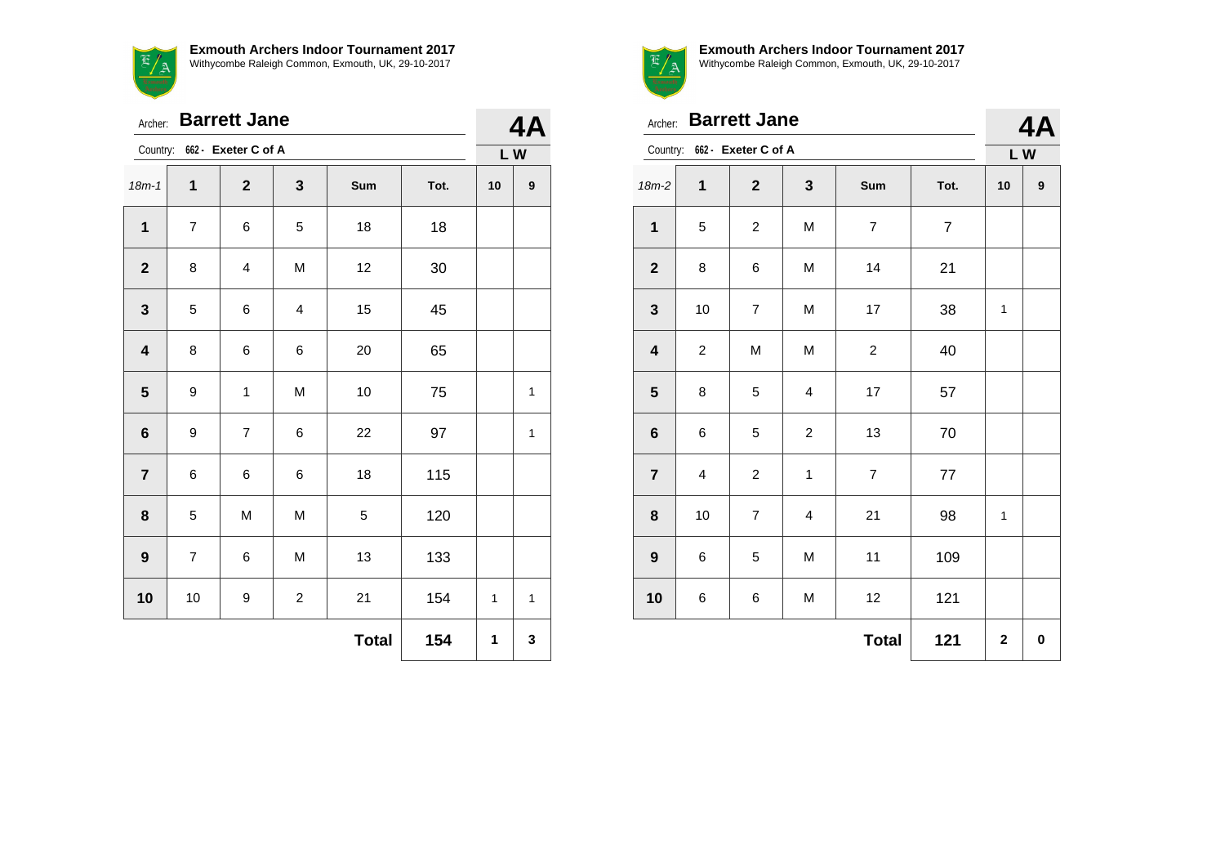**Exmouth Archers Indoor Tournament 2017** Withycombe Raleigh Common, Exmouth, UK, 29-10-2017



| Archer:                 |                     | <b>Barrett Jane</b>     |                |     |      |              | 4Α               |  |
|-------------------------|---------------------|-------------------------|----------------|-----|------|--------------|------------------|--|
| Country:                |                     | 662 - Exeter C of A     |                |     |      |              | LW               |  |
| $18m - 1$               | $\mathbf{1}$        | $\mathbf{2}$            | 3              | Sum | Tot. | 10           | $\boldsymbol{9}$ |  |
| 1                       | $\overline{7}$      | 6                       | 5              | 18  | 18   |              |                  |  |
| $\mathbf{2}$            | 8                   | $\overline{\mathbf{4}}$ | M              | 12  | 30   |              |                  |  |
| $\mathbf{3}$            | 5                   | 6                       | 4              | 15  | 45   |              |                  |  |
| $\overline{\mathbf{4}}$ | 8                   | 6                       | 6              | 20  | 65   |              |                  |  |
| $\overline{\mathbf{5}}$ | 9                   | $\mathbf 1$             | M              | 10  | 75   |              | $\mathbf 1$      |  |
| 6                       | 9                   | $\overline{7}$          | 6              | 22  | 97   |              | 1                |  |
| $\overline{7}$          | 6                   | 6                       | 6              | 18  | 115  |              |                  |  |
| 8                       | 5                   | M                       | M              | 5   | 120  |              |                  |  |
| $\boldsymbol{9}$        | $\overline{7}$      | 6                       | M              | 13  | 133  |              |                  |  |
| 10                      | $10$                | 9                       | $\overline{c}$ | 21  | 154  | $\mathbf{1}$ | 1                |  |
|                         | <b>Total</b><br>154 |                         |                |     |      |              |                  |  |



| Archer:                 |                         | <b>Barrett Jane</b>          |                         |                  |                |             | 4A        |  |
|-------------------------|-------------------------|------------------------------|-------------------------|------------------|----------------|-------------|-----------|--|
|                         |                         | Country: 662 - Exeter C of A |                         |                  |                |             | LW        |  |
| $18m-2$                 | 1                       | $\boldsymbol{2}$             | 3                       | Sum              | Tot.           | 10          | 9         |  |
| $\mathbf{1}$            | 5                       | $\overline{c}$               | M                       | $\boldsymbol{7}$ | $\overline{7}$ |             |           |  |
| $\boldsymbol{2}$        | 8                       | 6                            | M                       | 14               | 21             |             |           |  |
| $\mathbf 3$             | 10                      | $\overline{7}$               | M                       | 17               | 38             | 1           |           |  |
| $\overline{\mathbf{4}}$ | 2                       | M                            | M                       | $\overline{c}$   | 40             |             |           |  |
| ${\bf 5}$               | 8                       | 5                            | 4                       | 17               | 57             |             |           |  |
| $\bf 6$                 | 6                       | 5                            | $\overline{\mathbf{c}}$ | 13               | 70             |             |           |  |
| $\overline{7}$          | $\overline{\mathbf{4}}$ | $\overline{c}$               | $\mathbf 1$             | $\overline{7}$   | 77             |             |           |  |
| 8                       | 10                      | $\overline{7}$               | 4                       | 21               | 98             | 1           |           |  |
| $\boldsymbol{9}$        | 6                       | 5                            | M                       | 11               | 109            |             |           |  |
| 10                      | 6                       | 6                            | M                       | 12               | 121            |             |           |  |
|                         |                         |                              |                         | <b>Total</b>     | 121            | $\mathbf 2$ | $\pmb{0}$ |  |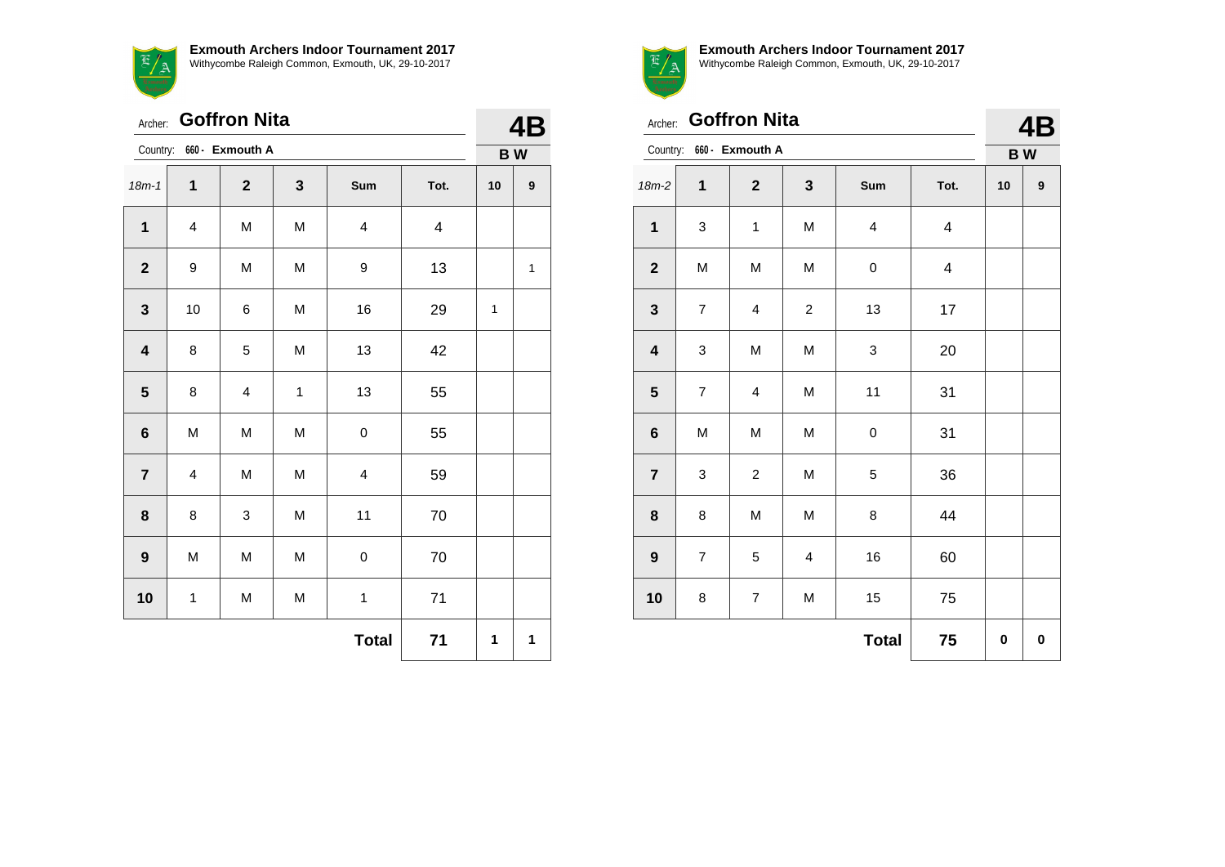**Exmouth Archers Indoor Tournament 2017** Withycombe Raleigh Common, Exmouth, UK, 29-10-2017



Archer: **Goffron Nita** Country: **660 - Exmouth A 4B B W** 18m-1 **1 2 3 Sum Tot. 10 9** | 4 | M | M | 4 | 4 | 9 | M | M | 9 | 13 | | 1 | 10 | 6 | M | 16 | 29 | 1 | 8 | 5 | M | 13 | 42 | 8 | 4 | 1 | 13 | 55 | M | M | M | 0 | 55 | 4 | M | M | 4 | 59 | 8 | 3 | M | 11 | 70 M M M 0 70

**10** 1 M M 1 71

**Total** 71 | 1 | 1



Archer: **Goffron Nita**

**Exmouth Archers Indoor Tournament 2017** Withycombe Raleigh Common, Exmouth, UK, 29-10-2017

| the control of the control of the control of the control of the control of the control of the control of the control of the control of the control of the control of the control of the control of the control of the control |  |
|-------------------------------------------------------------------------------------------------------------------------------------------------------------------------------------------------------------------------------|--|

**4B**

| Country:                |                  | 660 - Exmouth A         |                |                         | <b>BW</b>               |    |           |
|-------------------------|------------------|-------------------------|----------------|-------------------------|-------------------------|----|-----------|
| $18m-2$                 | 1                | $\boldsymbol{2}$        | 3              | Sum                     | Tot.                    | 10 | 9         |
| $\mathbf 1$             | 3                | $\mathbf{1}$            | M              | $\overline{\mathbf{4}}$ | $\overline{\mathbf{4}}$ |    |           |
| $\mathbf 2$             | M                | M                       | M              | 0                       | $\overline{\mathbf{4}}$ |    |           |
| $\mathbf{3}$            | $\boldsymbol{7}$ | $\overline{\mathbf{4}}$ | $\overline{c}$ | 13                      | 17                      |    |           |
| $\overline{\mathbf{4}}$ | 3                | M                       | M              | 3                       | $20\,$                  |    |           |
| ${\bf 5}$               | $\boldsymbol{7}$ | $\overline{\mathbf{4}}$ | M              | 11                      | 31                      |    |           |
| $\bf 6$                 | M                | M                       | M              | $\mathsf 0$             | 31                      |    |           |
| $\overline{\mathbf{7}}$ | 3                | $\overline{c}$          | M              | 5                       | 36                      |    |           |
| 8                       | 8                | M                       | M              | 8                       | 44                      |    |           |
| $\boldsymbol{9}$        | $\boldsymbol{7}$ | 5                       | 4              | $16\,$                  | 60                      |    |           |
| 10                      | 8                | $\boldsymbol{7}$        | M              | 15                      | 75                      |    |           |
|                         |                  |                         |                | <b>Total</b>            | 75                      | 0  | $\pmb{0}$ |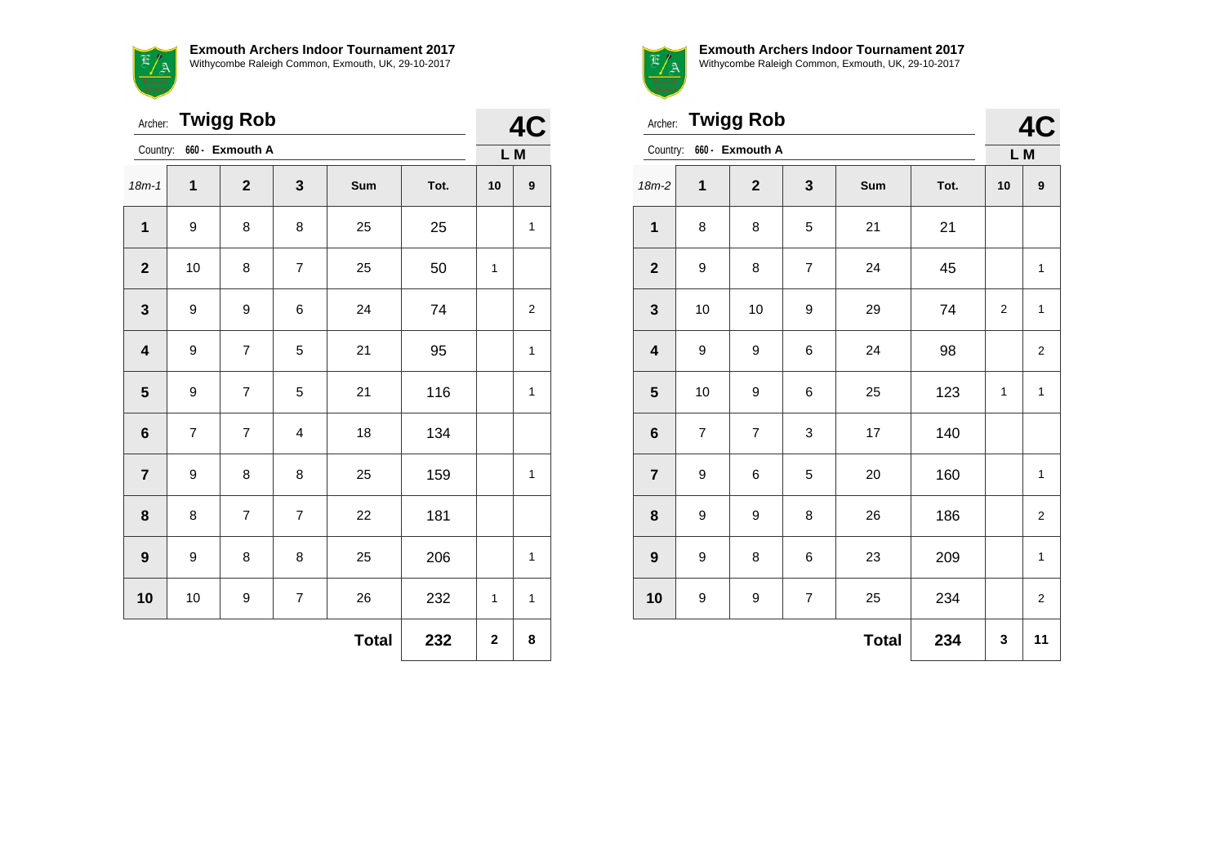**Exmouth Archers Indoor Tournament 2017** E/A Withycombe Raleigh Common, Exmouth, UK, 29-10-2017

|                         | Archer: Twigg Rob        |                 |                         |              |      |              |                         |  |  |
|-------------------------|--------------------------|-----------------|-------------------------|--------------|------|--------------|-------------------------|--|--|
| Country:                |                          | 660 - Exmouth A |                         |              |      | L M          |                         |  |  |
| $18m - 1$               | 1                        | $\overline{2}$  | 3                       | Sum          | Tot. | 10           | $\boldsymbol{9}$        |  |  |
| 1                       | 9                        | 8               | 8                       | 25           | 25   |              | $\mathbf{1}$            |  |  |
| $\boldsymbol{2}$        | 10                       | 8               | $\overline{\mathbf{7}}$ | 25           | 50   | 1            |                         |  |  |
| $\mathbf{3}$            | 9                        | 9               | 6                       | 24           | 74   |              | $\overline{\mathbf{c}}$ |  |  |
| $\overline{\mathbf{4}}$ | 9                        | $\overline{7}$  | 5                       | 21           | 95   |              | 1                       |  |  |
| $\overline{\mathbf{5}}$ | 9                        | $\overline{7}$  | 5                       | 21           | 116  |              | $\mathbf{1}$            |  |  |
| $\bf 6$                 | $\overline{\mathcal{I}}$ | $\overline{7}$  | 4                       | 18           | 134  |              |                         |  |  |
| $\overline{7}$          | 9                        | 8               | 8                       | 25           | 159  |              | $\mathbf{1}$            |  |  |
| 8                       | 8                        | $\overline{7}$  | 7                       | 22           | 181  |              |                         |  |  |
| $\boldsymbol{9}$        | 9                        | 8               | 8                       | 25           | 206  |              | 1                       |  |  |
| 10                      | 10                       | 9               | 7                       | 26           | 232  | 1            | 1                       |  |  |
|                         |                          |                 |                         | <b>Total</b> | 232  | $\mathbf{2}$ | 8                       |  |  |



|                         | Archer: Twigg Rob |                          |                |              |      |                |                  |  |  |
|-------------------------|-------------------|--------------------------|----------------|--------------|------|----------------|------------------|--|--|
|                         |                   | Country: 660 - Exmouth A |                |              |      | L M            |                  |  |  |
| $18m-2$                 | $\mathbf 1$       | $\overline{2}$           | 3              | Sum          | Tot. | 10             | $\boldsymbol{9}$ |  |  |
| $\mathbf{1}$            | 8                 | 8                        | 5              | 21           | 21   |                |                  |  |  |
| $\mathbf{2}$            | 9                 | 8                        | $\overline{7}$ | 24           | 45   |                | 1                |  |  |
| 3                       | 10                | 10                       | 9              | 29           | 74   | $\overline{2}$ | 1                |  |  |
| $\overline{\mathbf{4}}$ | 9                 | 9                        | 6              | 24           | 98   |                | $\overline{c}$   |  |  |
| 5                       | 10                | 9                        | 6              | 25           | 123  | 1              | 1                |  |  |
| $6\phantom{1}6$         | 7                 | $\overline{7}$           | 3              | 17           | 140  |                |                  |  |  |
| $\overline{7}$          | 9                 | 6                        | 5              | 20           | 160  |                | $\mathbf{1}$     |  |  |
| 8                       | 9                 | 9                        | 8              | 26           | 186  |                | $\overline{2}$   |  |  |
| $\boldsymbol{9}$        | 9                 | 8                        | 6              | 23           | 209  |                | $\mathbf{1}$     |  |  |
| 10                      | 9                 | 9                        | $\overline{7}$ | 25           | 234  |                | $\overline{2}$   |  |  |
|                         |                   |                          |                | <b>Total</b> | 234  | 3              | 11               |  |  |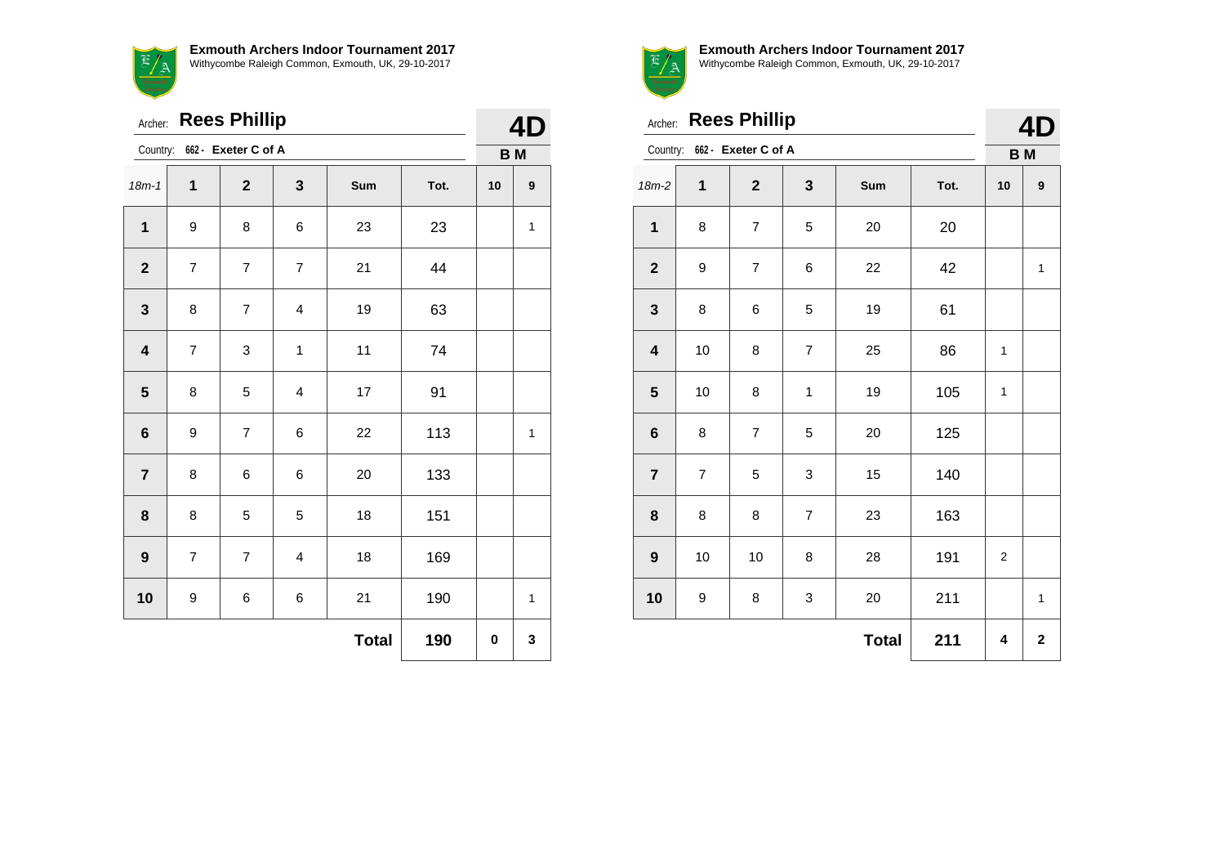**Exmouth Archers Indoor Tournament 2017** EA Withycombe Raleigh Common, Exmouth, UK, 29-10-2017

|                         | <b>Rees Phillip</b><br>Archer: |                          |                |              |      |           |                  |  |  |
|-------------------------|--------------------------------|--------------------------|----------------|--------------|------|-----------|------------------|--|--|
| Country:                |                                | 662 - Exeter C of A      |                |              |      | <b>BM</b> |                  |  |  |
| $18m - 1$               | $\mathbf{1}$                   | $\mathbf{2}$             | 3              | Sum          | Tot. | 10        | $\boldsymbol{9}$ |  |  |
| 1                       | 9                              | 8                        | 6              | 23           | 23   |           | $\mathbf{1}$     |  |  |
| $\overline{\mathbf{2}}$ | $\overline{7}$                 | $\overline{7}$           | $\overline{7}$ | 21           | 44   |           |                  |  |  |
| $\mathbf 3$             | 8                              | $\overline{7}$           | 4              | 19           | 63   |           |                  |  |  |
| $\overline{\mathbf{4}}$ | $\overline{7}$                 | 3                        | $\mathbf{1}$   | 11           | 74   |           |                  |  |  |
| $5\phantom{1}$          | 8                              | 5                        | 4              | 17           | 91   |           |                  |  |  |
| $\bf 6$                 | 9                              | $\overline{\mathcal{I}}$ | 6              | 22           | 113  |           | $\mathbf{1}$     |  |  |
| $\overline{7}$          | 8                              | $\,6$                    | 6              | 20           | 133  |           |                  |  |  |
| 8                       | 8                              | 5                        | 5              | 18           | 151  |           |                  |  |  |
| $\boldsymbol{9}$        | 7                              | $\overline{7}$           | $\overline{4}$ | 18           | 169  |           |                  |  |  |
| 10                      | 9                              | 6                        | 6              | 21           | 190  |           | $\mathbf{1}$     |  |  |
|                         |                                |                          |                | <b>Total</b> | 190  | 0         | 3                |  |  |



|                         | <b>Rees Phillip</b><br>Archer:<br>Country: 662 - Exeter C of A |                          |                |              |      |                |              |  |  |
|-------------------------|----------------------------------------------------------------|--------------------------|----------------|--------------|------|----------------|--------------|--|--|
|                         |                                                                |                          |                |              |      | <b>BM</b>      |              |  |  |
| $18m-2$                 | 1                                                              | $\mathbf{2}$             | 3              | Sum          | Tot. | 10             | 9            |  |  |
| $\mathbf{1}$            | 8                                                              | $\overline{7}$           | 5              | 20           | 20   |                |              |  |  |
| $\mathbf{2}$            | 9                                                              | $\overline{\mathcal{I}}$ | 6              | 22           | 42   |                | $\mathbf{1}$ |  |  |
| 3                       | 8                                                              | 6                        | 5              | 19           | 61   |                |              |  |  |
| $\overline{\mathbf{4}}$ | 10                                                             | 8                        | $\overline{7}$ | 25           | 86   | 1              |              |  |  |
| $\overline{\mathbf{5}}$ | 10                                                             | 8                        | 1              | 19           | 105  | $\mathbf{1}$   |              |  |  |
| $\bf 6$                 | 8                                                              | $\overline{7}$           | 5              | 20           | 125  |                |              |  |  |
| $\overline{7}$          | $\overline{7}$                                                 | 5                        | 3              | 15           | 140  |                |              |  |  |
| 8                       | 8                                                              | 8                        | $\overline{7}$ | 23           | 163  |                |              |  |  |
| 9                       | 10                                                             | 10                       | 8              | 28           | 191  | $\overline{2}$ |              |  |  |
| 10                      | 9                                                              | 8                        | 3              | 20           | 211  |                | $\mathbf{1}$ |  |  |
|                         |                                                                |                          |                | <b>Total</b> | 211  | 4              | $\mathbf 2$  |  |  |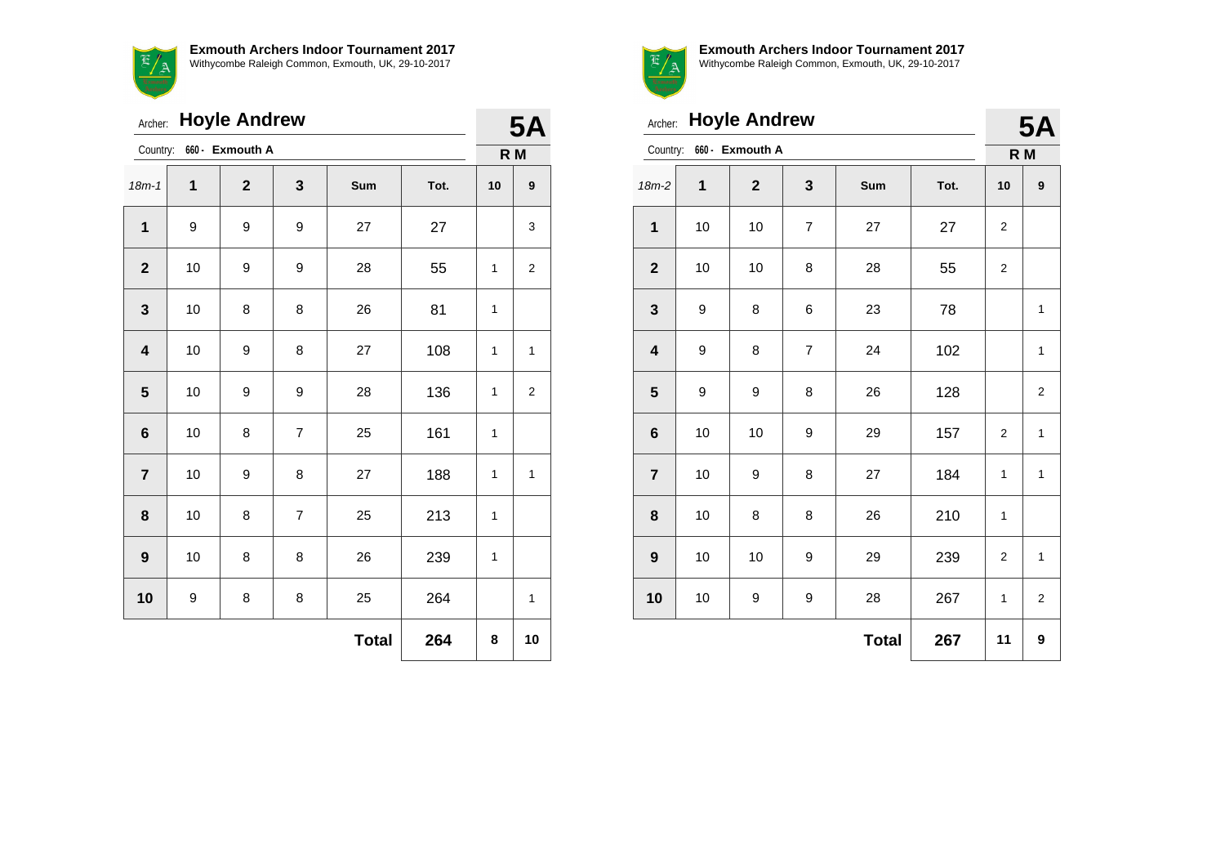**Exmouth Archers Indoor Tournament 2017**  $\overline{a}$ Withycombe Raleigh Common, Exmouth, UK, 29-10-2017

|              | <b>Hoyle Andrew</b><br>Archer: |                 |                |              |      |                  |                  |  |  |
|--------------|--------------------------------|-----------------|----------------|--------------|------|------------------|------------------|--|--|
| Country:     |                                | 660 - Exmouth A |                |              |      | <b>5A</b><br>R M |                  |  |  |
| $18m - 1$    | 1                              | $\overline{2}$  | 3              | Sum          | Tot. | 10               | $\boldsymbol{9}$ |  |  |
| 1            | 9                              | 9               | 9              | 27           | 27   |                  | 3                |  |  |
| $\mathbf{2}$ | 10                             | 9               | 9              | 28           | 55   | 1                | $\mathbf{2}$     |  |  |
| 3            | 10                             | 8               | 8              | 26           | 81   | 1                |                  |  |  |
| 4            | 10                             | 9               | 8              | 27           | 108  | 1                | 1                |  |  |
| 5            | 10                             | 9               | 9              | 28           | 136  | 1                | $\overline{2}$   |  |  |
| 6            | 10                             | 8               | $\overline{7}$ | 25           | 161  | 1                |                  |  |  |
| 7            | 10                             | 9               | 8              | 27           | 188  | 1                | $\mathbf{1}$     |  |  |
| 8            | 10                             | 8               | $\overline{7}$ | 25           | 213  | 1                |                  |  |  |
| 9            | 10                             | 8               | 8              | 26           | 239  | 1                |                  |  |  |
| 10           | 9                              | 8               | 8              | 25           | 264  |                  | 1                |  |  |
|              |                                |                 |                | <b>Total</b> | 264  | 8                | 10               |  |  |



|                         | <b>Hoyle Andrew</b><br>Archer: |                          |                |              |      |                |                |  |
|-------------------------|--------------------------------|--------------------------|----------------|--------------|------|----------------|----------------|--|
|                         |                                | Country: 660 - Exmouth A |                |              |      | R M            |                |  |
| $18m-2$                 | 1                              | $\overline{2}$           | 3              | Sum          | Tot. | 10             | 9              |  |
| 1                       | 10                             | 10                       | $\overline{7}$ | 27           | 27   | 2              |                |  |
| $\mathbf{2}$            | 10                             | 10                       | 8              | 28           | 55   | $\overline{c}$ |                |  |
| $\mathbf{3}$            | 9                              | 8                        | 6              | 23           | 78   |                | 1              |  |
| $\overline{\mathbf{4}}$ | 9                              | 8                        | $\overline{7}$ | 24           | 102  |                | $\mathbf{1}$   |  |
| 5                       | 9                              | 9                        | 8              | 26           | 128  |                | $\overline{2}$ |  |
| $6\phantom{1}$          | 10                             | 10                       | 9              | 29           | 157  | $\overline{2}$ | $\mathbf{1}$   |  |
| $\overline{7}$          | 10                             | 9                        | 8              | 27           | 184  | 1              | $\mathbf{1}$   |  |
| 8                       | 10                             | 8                        | 8              | 26           | 210  | 1              |                |  |
| $\boldsymbol{9}$        | 10                             | 10                       | 9              | 29           | 239  | 2              | $\mathbf{1}$   |  |
| 10                      | 10                             | 9                        | 9              | 28           | 267  | $\mathbf{1}$   | $\overline{2}$ |  |
|                         |                                |                          |                | <b>Total</b> | 267  | 11             | 9              |  |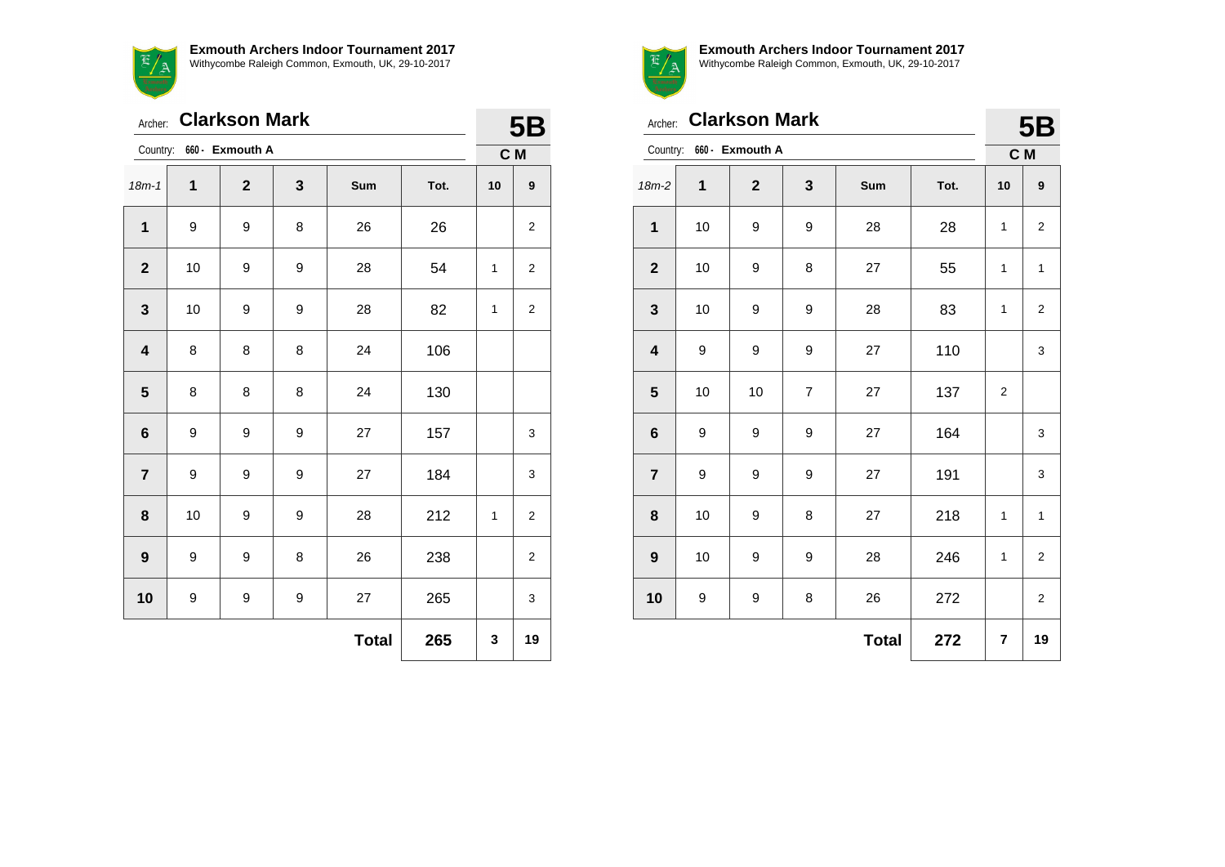$\mathfrak{F}$ <u>-7 a</u>

|  |  |  | <b>Exmouth Archers Indoor Tournament 2017</b> |  |  |
|--|--|--|-----------------------------------------------|--|--|
|  |  |  |                                               |  |  |



Withycombe Raleigh Common, Exmouth, UK, 29-10-2017

|                         | <b>Clarkson Mark</b><br>Archer: |                 |   |              |      |              |                |  |  |
|-------------------------|---------------------------------|-----------------|---|--------------|------|--------------|----------------|--|--|
| Country:                |                                 | 660 - Exmouth A |   |              |      | 5B<br>C M    |                |  |  |
| $18m - 1$               | 1                               | $\mathbf{2}$    | 3 | Sum          | Tot. | 10           | 9              |  |  |
| 1                       | 9                               | 9               | 8 | 26           | 26   |              | 2              |  |  |
| $\mathbf{2}$            | 10                              | 9               | 9 | 28           | 54   | 1            | $\overline{2}$ |  |  |
| $\mathbf{3}$            | 10                              | 9               | 9 | 28           | 82   | $\mathbf{1}$ | 2              |  |  |
| $\overline{\mathbf{4}}$ | 8                               | 8               | 8 | 24           | 106  |              |                |  |  |
| $\overline{\mathbf{5}}$ | 8                               | 8               | 8 | 24           | 130  |              |                |  |  |
| $\bf 6$                 | 9                               | 9               | 9 | 27           | 157  |              | 3              |  |  |
| $\overline{7}$          | 9                               | 9               | 9 | 27           | 184  |              | 3              |  |  |
| 8                       | 10                              | 9               | 9 | 28           | 212  | 1            | $\overline{c}$ |  |  |
| 9                       | 9                               | 9               | 8 | 26           | 238  |              | 2              |  |  |
| 10                      | 9                               | 9               | 9 | 27           | 265  |              | 3              |  |  |
|                         |                                 |                 |   | <b>Total</b> | 265  | 3            | 19             |  |  |



**Exmouth Archers Indoor Tournament 2017** Withycombe Raleigh Common, Exmouth, UK, 29-10-2017

| <b>Clarkson Mark</b><br>Archer: |    |                 |                |              |      |                | <b>5B</b>               |
|---------------------------------|----|-----------------|----------------|--------------|------|----------------|-------------------------|
| Country:                        |    | 660 - Exmouth A |                |              |      | C M            |                         |
| $18m-2$                         | 1  | $\mathbf{2}$    | 3              | Sum          | Tot. | 10             | 9                       |
| 1                               | 10 | 9               | 9              | 28           | 28   | $\mathbf{1}$   | $\overline{\mathbf{c}}$ |
| $\mathbf{2}$                    | 10 | 9               | 8              | 27           | 55   | 1              | $\mathbf{1}$            |
| 3                               | 10 | 9               | 9              | 28           | 83   | 1              | $\overline{2}$          |
| 4                               | 9  | 9               | 9              | 27           | 110  |                | 3                       |
| 5                               | 10 | 10              | $\overline{7}$ | 27           | 137  | $\overline{2}$ |                         |
| $6\phantom{1}6$                 | 9  | 9               | 9              | 27           | 164  |                | 3                       |
| $\overline{\mathbf{r}}$         | 9  | 9               | 9              | 27           | 191  |                | 3                       |
| 8                               | 10 | 9               | 8              | 27           | 218  | 1              | $\mathbf{1}$            |
| $\boldsymbol{9}$                | 10 | 9               | 9              | 28           | 246  | 1              | $\overline{2}$          |
| 10                              | 9  | 9               | 8              | 26           | 272  |                | $\overline{2}$          |
|                                 |    |                 |                | <b>Total</b> | 272  | 7              | 19                      |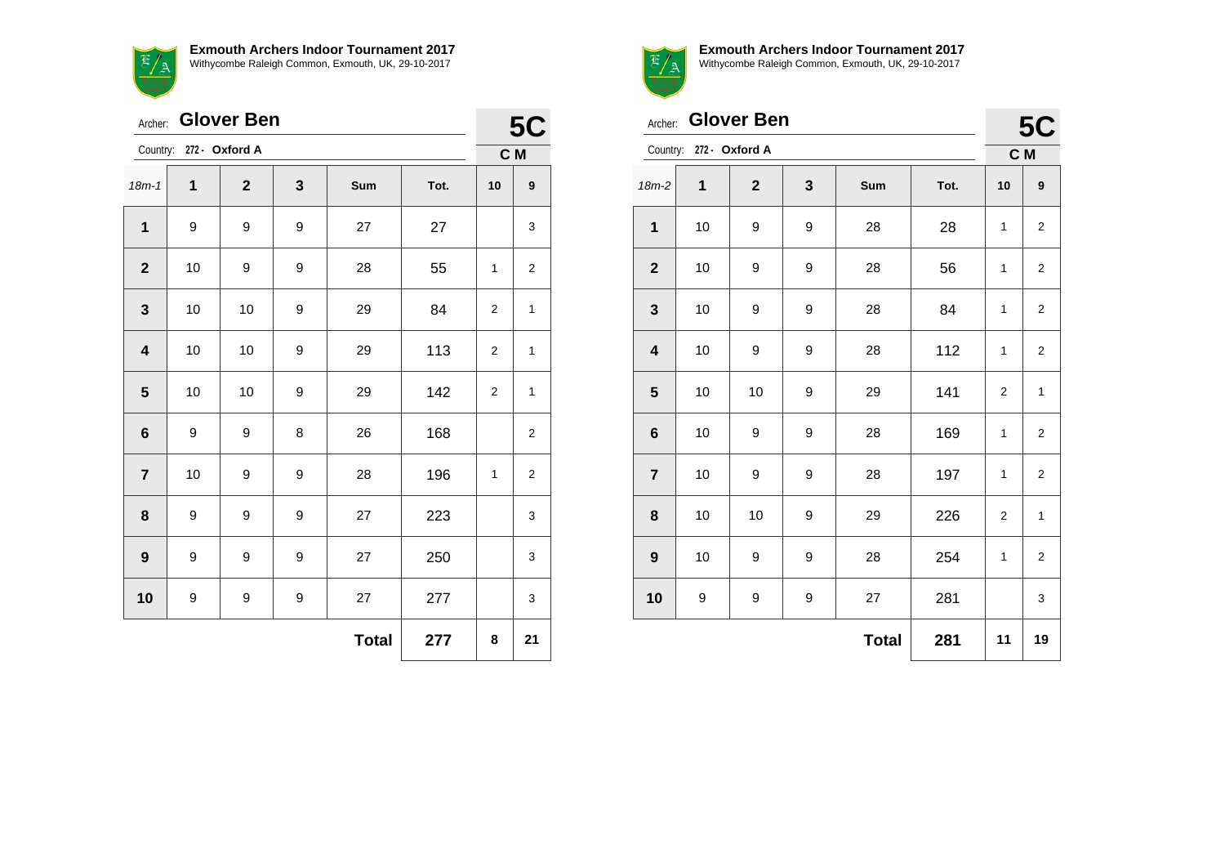**Exmouth Archers Indoor Tournament 2017** Withycombe Raleigh Common, Exmouth, UK, 29-10-2017

| Wi |
|----|
|    |

| Archer:                 |                         | <b>Glover Ben</b> |   |              |      |                  | <b>5C</b>        |
|-------------------------|-------------------------|-------------------|---|--------------|------|------------------|------------------|
|                         | Country: 272 - Oxford A |                   |   |              |      |                  | C M              |
| $18m - 1$               | $\mathbf{1}$            | $\mathbf{2}$      | 3 | Sum          | Tot. | 10               | $\boldsymbol{9}$ |
| $\mathbf{1}$            | 9                       | 9                 | 9 | 27           | 27   |                  | 3                |
| $\mathbf{2}$            | 10                      | 9                 | 9 | 28           | 55   | 1                | 2                |
| $\mathbf{3}$            | 10                      | 10                | 9 | 29           | 84   | 2                | 1                |
| $\overline{\mathbf{4}}$ | 10                      | 10                | 9 | 29           | 113  | $\boldsymbol{2}$ | 1                |
| $5\phantom{.0}$         | 10                      | 10                | 9 | 29           | 142  | $\boldsymbol{2}$ | 1                |
| $6\phantom{1}6$         | 9                       | 9                 | 8 | 26           | 168  |                  | 2                |
| $\overline{7}$          | 10                      | 9                 | 9 | 28           | 196  | 1                | 2                |
| 8                       | 9                       | 9                 | 9 | 27           | 223  |                  | 3                |
| $\boldsymbol{9}$        | 9                       | 9                 | 9 | 27           | 250  |                  | 3                |
| 10                      | 9                       | 9                 | 9 | 27           | 277  |                  | 3                |
|                         |                         |                   |   | <b>Total</b> | 277  | 8                | 21               |



| <b>Glover Ben</b><br>Archer: |                         |                |   |              |      |                | <b>5C</b>               |
|------------------------------|-------------------------|----------------|---|--------------|------|----------------|-------------------------|
|                              | Country: 272 - Oxford A |                |   |              |      |                | C M                     |
| $18m-2$                      | 1                       | $\overline{2}$ | 3 | Sum          | Tot. | 10             | 9                       |
| $\mathbf{1}$                 | $10$                    | 9              | 9 | 28           | 28   | 1              | $\overline{\mathbf{c}}$ |
| $\boldsymbol{2}$             | 10                      | 9              | 9 | 28           | 56   | $\mathbf{1}$   | 2                       |
| $\mathbf{3}$                 | 10                      | 9              | 9 | 28           | 84   | 1              | 2                       |
| $\overline{\mathbf{4}}$      | 10                      | 9              | 9 | 28           | 112  | 1              | $\overline{2}$          |
| $5\phantom{.0}$              | 10                      | 10             | 9 | 29           | 141  | $\overline{2}$ | 1                       |
| $6\phantom{a}$               | 10                      | 9              | 9 | 28           | 169  | $\mathbf{1}$   | $\overline{\mathbf{c}}$ |
| $\overline{7}$               | 10                      | 9              | 9 | 28           | 197  | 1              | $\overline{\mathbf{c}}$ |
| 8                            | 10                      | 10             | 9 | 29           | 226  | 2              | 1                       |
| 9                            | 10                      | 9              | 9 | 28           | 254  | 1              | $\overline{\mathbf{c}}$ |
| 10                           | 9                       | 9              | 9 | 27           | 281  |                | 3                       |
|                              |                         |                |   | <b>Total</b> | 281  | 11             | 19                      |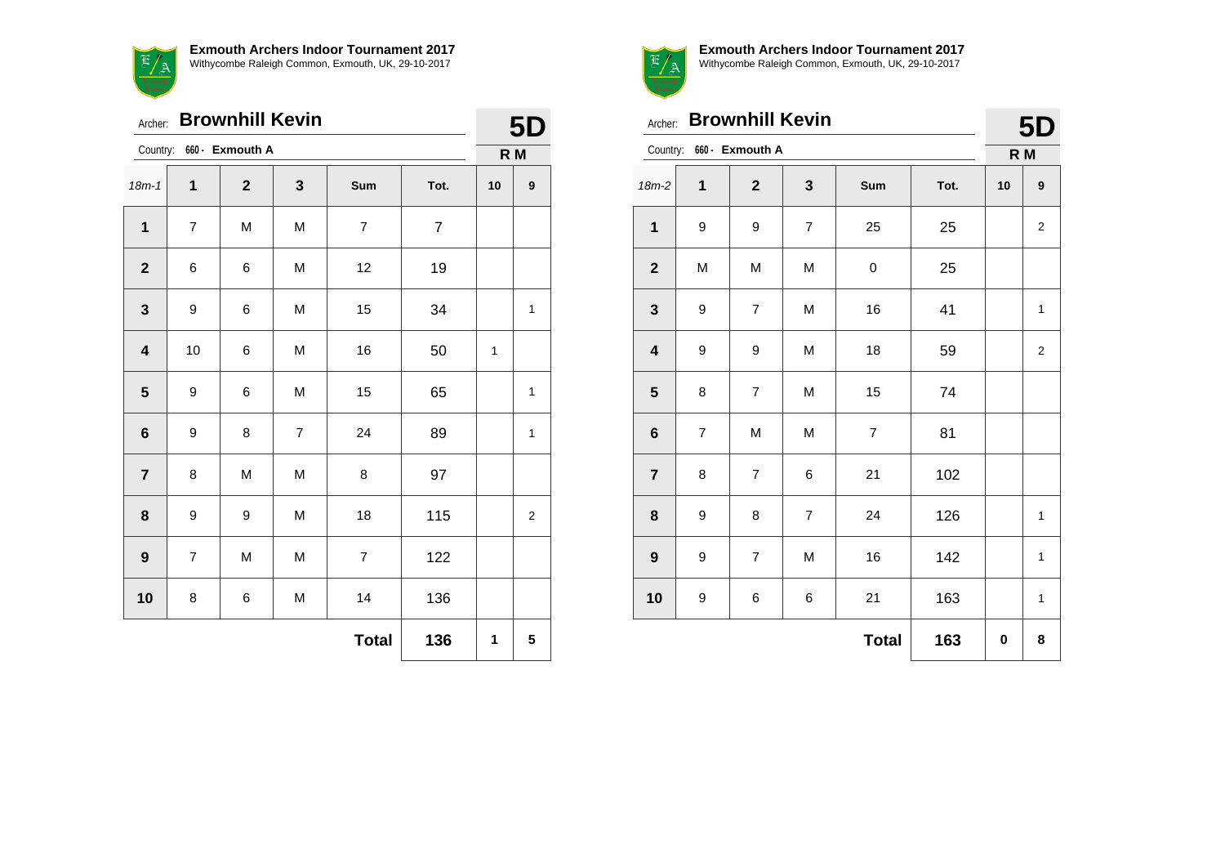$E/A$ 

**Exmouth Archers Indoor Tournament 2017** Withycombe Raleigh Common, Exmouth, UK, 29-10-2017

| Archer:                 |                             | <b>Brownhill Kevin</b> |                |                |                |    | 5 <sub>D</sub> |
|-------------------------|-----------------------------|------------------------|----------------|----------------|----------------|----|----------------|
|                         | 660 - Exmouth A<br>Country: |                        |                |                |                |    | R M            |
| $18m - 1$               | 1                           | $\mathbf{2}$           | 3              | Sum            | Tot.           | 10 | 9              |
| $\mathbf{1}$            | $\overline{\mathcal{I}}$    | M                      | M              | $\overline{7}$ | $\overline{7}$ |    |                |
| $\mathbf{2}$            | 6                           | 6                      | M              | 12             | 19             |    |                |
| $\mathbf{3}$            | 9                           | 6                      | M              | 15             | 34             |    | 1              |
| $\overline{\mathbf{4}}$ | 10                          | 6                      | M              | 16             | 50             | 1  |                |
| $5\phantom{1}$          | 9                           | 6                      | M              | 15             | 65             |    | 1              |
| $6\phantom{1}$          | 9                           | 8                      | $\overline{7}$ | 24             | 89             |    | $\mathbf{1}$   |
| $\overline{7}$          | 8                           | M                      | M              | 8              | 97             |    |                |
| 8                       | 9                           | 9                      | M              | 18             | 115            |    | 2              |
| $\boldsymbol{9}$        | $\overline{7}$              | M                      | M              | $\overline{7}$ | 122            |    |                |
| 10                      | 8                           | 6                      | M              | 14             | 136            |    |                |
|                         |                             |                        |                | <b>Total</b>   | 136            | 1  | 5              |



|  | 5D. |  |
|--|-----|--|

| Archer:                 |                | <b>Brownhill Kevin</b>   |                |                |      |     | 5D             |
|-------------------------|----------------|--------------------------|----------------|----------------|------|-----|----------------|
|                         |                | Country: 660 - Exmouth A |                |                |      | R M |                |
| $18m-2$                 | 1              | $\mathbf{2}$             | $\mathbf{3}$   | Sum            | Tot. | 10  | 9              |
| $\mathbf{1}$            | 9              | 9                        | $\overline{7}$ | 25             | 25   |     | $\overline{c}$ |
| $\mathbf{2}$            | M              | M                        | M              | 0              | 25   |     |                |
| 3                       | 9              | $\overline{7}$           | M              | 16             | 41   |     | $\mathbf{1}$   |
| $\overline{\mathbf{4}}$ | 9              | 9                        | M              | 18             | 59   |     | $\overline{2}$ |
| 5                       | 8              | $\overline{7}$           | M              | 15             | 74   |     |                |
| $6\phantom{1}6$         | $\overline{7}$ | M                        | M              | $\overline{7}$ | 81   |     |                |
| $\overline{7}$          | 8              | $\overline{7}$           | 6              | 21             | 102  |     |                |
| 8                       | 9              | 8                        | $\overline{7}$ | 24             | 126  |     | $\mathbf{1}$   |
| $\boldsymbol{9}$        | 9              | $\overline{7}$           | M              | 16             | 142  |     | $\mathbf{1}$   |
| 10                      | 9              | 6                        | 6              | 21             | 163  |     | $\mathbf{1}$   |
|                         |                |                          |                | <b>Total</b>   | 163  | 0   | 8              |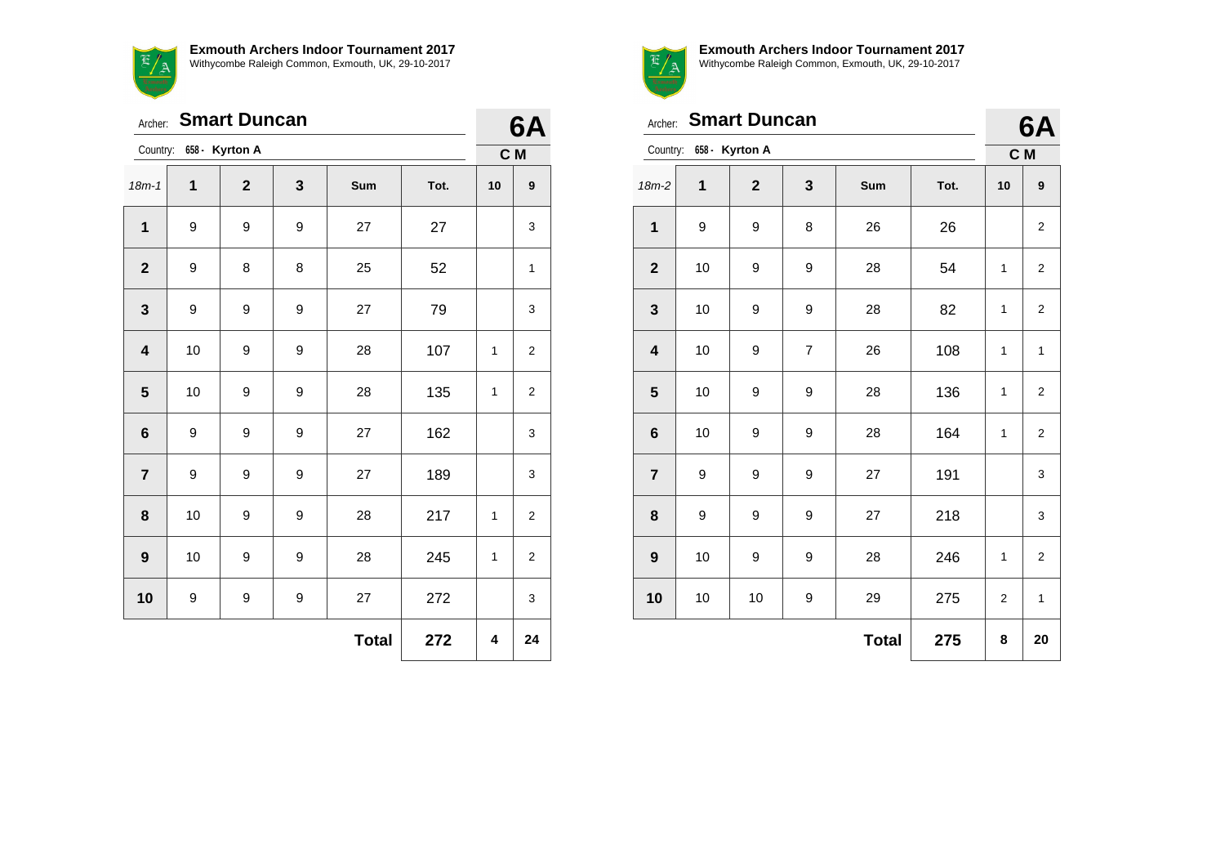**Exmouth Archers Indoor Tournament 2017**  $E/A$ Withycombe Raleigh Common, Exmouth, UK, 29-10-2017

| <b>Smart Duncan</b><br>Archer: |                         |                |   |              |      |              | 6A               |
|--------------------------------|-------------------------|----------------|---|--------------|------|--------------|------------------|
|                                | Country: 658 - Kyrton A |                |   |              |      |              | C M              |
| $18m - 1$                      | 1                       | $\overline{2}$ | 3 | Sum          | Tot. | 10           | $\boldsymbol{9}$ |
| $\mathbf{1}$                   | 9                       | 9              | 9 | 27           | 27   |              | 3                |
| $\mathbf{2}$                   | 9                       | 8              | 8 | 25           | 52   |              | 1                |
| 3                              | 9                       | 9              | 9 | 27           | 79   |              | 3                |
| $\overline{\mathbf{4}}$        | 10                      | 9              | 9 | 28           | 107  | 1            | 2                |
| 5                              | 10                      | 9              | 9 | 28           | 135  | 1            | $\overline{2}$   |
| $6\phantom{1}$                 | 9                       | 9              | 9 | 27           | 162  |              | 3                |
| $\overline{7}$                 | 9                       | 9              | 9 | 27           | 189  |              | 3                |
| 8                              | 10                      | 9              | 9 | 28           | 217  | 1            | 2                |
| $\boldsymbol{9}$               | 10                      | 9              | 9 | 28           | 245  | $\mathbf{1}$ | $\overline{2}$   |
| 10                             | 9                       | 9              | 9 | 27           | 272  |              | 3                |
|                                |                         |                |   | <b>Total</b> | 272  | 4            | 24               |



**Exmouth Archers Indoor Tournament 2017**

Withycombe Raleigh Common, Exmouth, UK, 29-10-2017

| <b>Smart Duncan</b><br>Archer: |                         |              |                |              |      |    | 6A                      |
|--------------------------------|-------------------------|--------------|----------------|--------------|------|----|-------------------------|
|                                | Country: 658 - Kyrton A |              |                |              |      |    | C M                     |
| 18m-2                          | 1                       | $\mathbf{2}$ | 3              | Sum          | Tot. | 10 | 9                       |
| $\mathbf 1$                    | 9                       | 9            | 8              | 26           | 26   |    | 2                       |
| $\mathbf{2}$                   | 10                      | 9            | 9              | 28           | 54   | 1  | 2                       |
| $\mathbf{3}$                   | 10                      | 9            | 9              | 28           | 82   | 1  | $\overline{2}$          |
| $\overline{\mathbf{4}}$        | 10                      | 9            | $\overline{7}$ | 26           | 108  | 1  | 1                       |
| $\overline{\mathbf{5}}$        | 10                      | 9            | 9              | 28           | 136  | 1  | $\overline{\mathbf{c}}$ |
| $\bf 6$                        | 10                      | 9            | 9              | 28           | 164  | 1  | $\overline{2}$          |
| $\overline{7}$                 | 9                       | 9            | 9              | 27           | 191  |    | 3                       |
| 8                              | 9                       | 9            | 9              | 27           | 218  |    | 3                       |
| $\boldsymbol{9}$               | 10                      | 9            | 9              | 28           | 246  | 1  | $\overline{2}$          |
| 10                             | 10                      | 10           | 9              | 29           | 275  | 2  | $\mathbf{1}$            |
|                                |                         |              |                | <b>Total</b> | 275  | 8  | 20                      |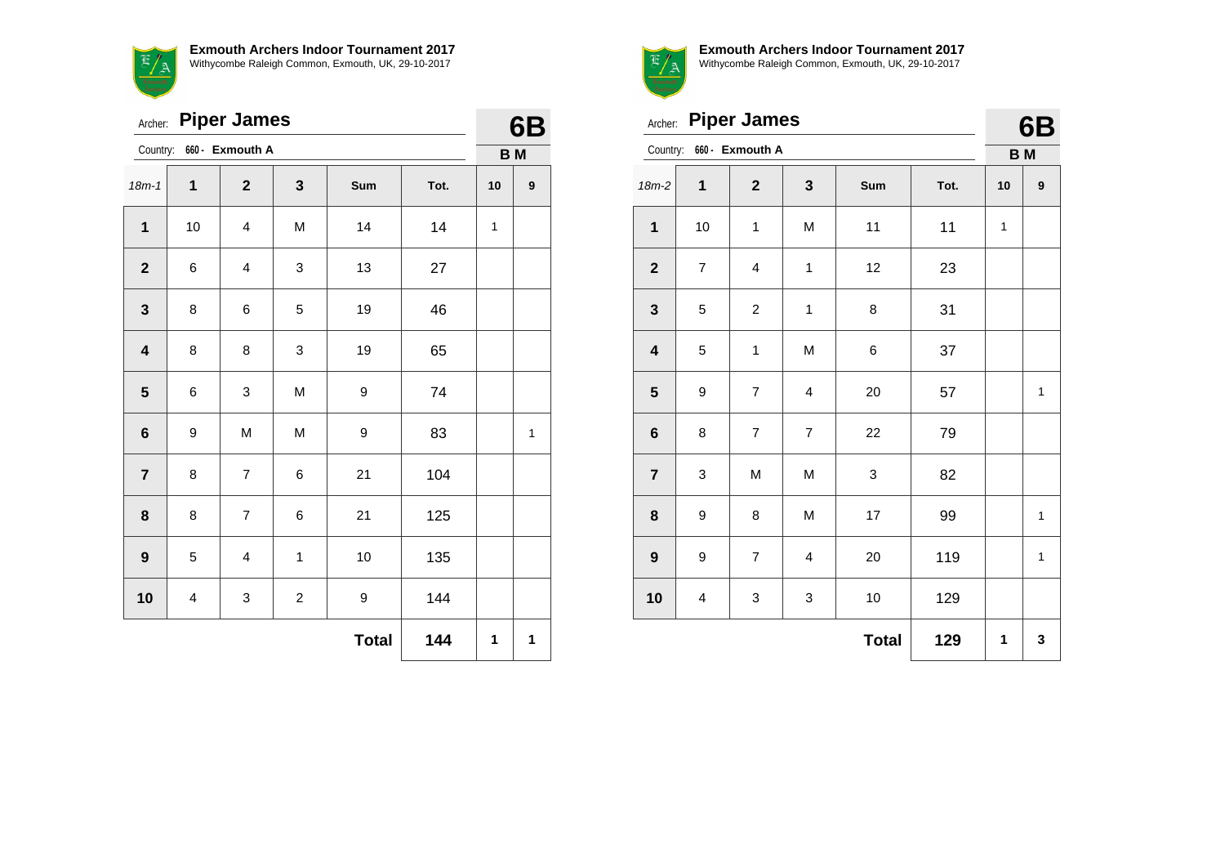$E/A$ 

**Exmouth Archers Indoor Tournament 2017** Withycombe Raleigh Common, Exmouth, UK, 29-10-2017

| Archer:                 |    | <b>Piper James</b>      |                         |              |      |              | 6B               |
|-------------------------|----|-------------------------|-------------------------|--------------|------|--------------|------------------|
| Country:                |    | 660 - Exmouth A         |                         |              |      | <b>BM</b>    |                  |
| $18m - 1$               | 1  | $\overline{2}$          | 3                       | Sum          | Tot. | 10           | $\boldsymbol{9}$ |
| 1                       | 10 | 4                       | M                       | 14           | 14   | $\mathbf{1}$ |                  |
| $\mathbf{2}$            | 6  | $\overline{\mathbf{4}}$ | 3                       | 13           | 27   |              |                  |
| $\mathbf 3$             | 8  | 6                       | 5                       | 19           | 46   |              |                  |
| $\overline{\mathbf{4}}$ | 8  | 8                       | 3                       | 19           | 65   |              |                  |
| $\overline{\mathbf{5}}$ | 6  | 3                       | M                       | 9            | 74   |              |                  |
| $\bf 6$                 | 9  | M                       | M                       | 9            | 83   |              | $\mathbf{1}$     |
| $\overline{7}$          | 8  | $\overline{7}$          | 6                       | 21           | 104  |              |                  |
| 8                       | 8  | $\overline{7}$          | 6                       | 21           | 125  |              |                  |
| $\boldsymbol{9}$        | 5  | 4                       | $\mathbf 1$             | 10           | 135  |              |                  |
| 10                      | 4  | 3                       | $\overline{\mathbf{c}}$ | 9            | 144  |              |                  |
|                         |    |                         |                         | <b>Total</b> | 144  | 1            | 1                |



Archer: **Piper James**

| 6B |
|----|

| 660 - Exmouth A<br>Country: |                  |                         |                         |              |      | <b>BM</b>    |              |
|-----------------------------|------------------|-------------------------|-------------------------|--------------|------|--------------|--------------|
| $18m-2$                     | $\mathbf{1}$     | $\mathbf{2}$            | $\mathbf{3}$            | Sum          | Tot. | 10           | 9            |
| $\mathbf 1$                 | 10               | $\mathbf{1}$            | M                       | 11           | 11   | $\mathbf{1}$ |              |
| $\mathbf 2$                 | $\boldsymbol{7}$ | $\overline{\mathbf{4}}$ | $\mathbf 1$             | 12           | 23   |              |              |
| $\mathbf{3}$                | 5                | $\overline{c}$          | $\mathbf 1$             | 8            | 31   |              |              |
| $\overline{\mathbf{4}}$     | 5                | $\mathbf{1}$            | M                       | 6            | 37   |              |              |
| ${\bf 5}$                   | 9                | $\overline{7}$          | $\overline{\mathbf{4}}$ | 20           | 57   |              | $\mathbf{1}$ |
| $\bf 6$                     | 8                | $\overline{7}$          | $\overline{7}$          | 22           | 79   |              |              |
| $\overline{\mathbf{7}}$     | $\mathbf 3$      | M                       | M                       | $\mathbf 3$  | 82   |              |              |
| $\bf 8$                     | 9                | 8                       | M                       | 17           | 99   |              | $\mathbf 1$  |
| $\boldsymbol{9}$            | 9                | $\overline{\mathbf{7}}$ | 4                       | 20           | 119  |              | $\mathbf{1}$ |
| 10                          | 4                | 3                       | 3                       | 10           | 129  |              |              |
|                             |                  |                         |                         | <b>Total</b> | 129  | 1            | 3            |